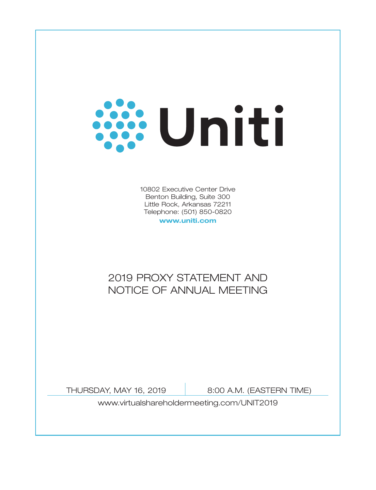

10802 Executive Center Drive Benton Building, Suite 300 Little Rock, Arkansas 72211 Telephone: (501) 850-0820

**www.uniti.com**

# 2019 PROXY STATEMENT AND NOTICE OF ANNUAL MEETING

THURSDAY, MAY 16, 2019 8:00 A.M. (EASTERN TIME)

www.virtualshareholdermeeting.com/UNIT2019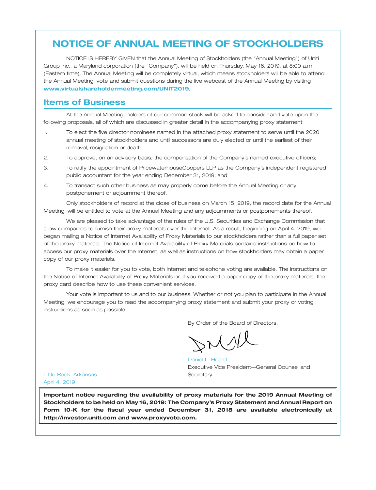# **NOTICE OF ANNUAL MEETING OF STOCKHOLDERS**

NOTICE IS HEREBY GIVEN that the Annual Meeting of Stockholders (the ''Annual Meeting'') of Uniti Group Inc., a Maryland corporation (the ''Company''), will be held on Thursday, May 16, 2019, at 8:00 a.m. (Eastern time). The Annual Meeting will be completely virtual, which means stockholders will be able to attend the Annual Meeting, vote and submit questions during the live webcast of the Annual Meeting by visiting . **www.virtualshareholdermeeting.com/UNIT2019**

## **Items of Business**

At the Annual Meeting, holders of our common stock will be asked to consider and vote upon the following proposals, all of which are discussed in greater detail in the accompanying proxy statement:

- 1. To elect the five director nominees named in the attached proxy statement to serve until the 2020 annual meeting of stockholders and until successors are duly elected or until the earliest of their removal, resignation or death;
- 2. To approve, on an advisory basis, the compensation of the Company's named executive officers;
- 3. To ratify the appointment of PricewaterhouseCoopers LLP as the Company's independent registered public accountant for the year ending December 31, 2019; and
- 4. To transact such other business as may properly come before the Annual Meeting or any postponement or adjournment thereof.

Only stockholders of record at the close of business on March 15, 2019, the record date for the Annual Meeting, will be entitled to vote at the Annual Meeting and any adjournments or postponements thereof.

We are pleased to take advantage of the rules of the U.S. Securities and Exchange Commission that allow companies to furnish their proxy materials over the Internet. As a result, beginning on April 4, 2019, we began mailing a Notice of Internet Availability of Proxy Materials to our stockholders rather than a full paper set of the proxy materials. The Notice of Internet Availability of Proxy Materials contains instructions on how to access our proxy materials over the Internet, as well as instructions on how stockholders may obtain a paper copy of our proxy materials.

To make it easier for you to vote, both Internet and telephone voting are available. The instructions on the Notice of Internet Availability of Proxy Materials or, if you received a paper copy of the proxy materials, the proxy card describe how to use these convenient services.

Your vote is important to us and to our business. Whether or not you plan to participate in the Annual Meeting, we encourage you to read the accompanying proxy statement and submit your proxy or voting instructions as soon as possible.

By Order of the Board of Directors,

Executive Vice President—General Counsel and **Secretary** Daniel L. Heard

Little Rock, Arkansas April 4, 2019

**Important notice regarding the availability of proxy materials for the 2019 Annual Meeting of Stockholders to be held on May 16, 2019: The Company's Proxy Statement and Annual Report on Form 10-K for the fiscal year ended December 31, 2018 are available electronically at http://investor.uniti.com and www.proxyvote.com.**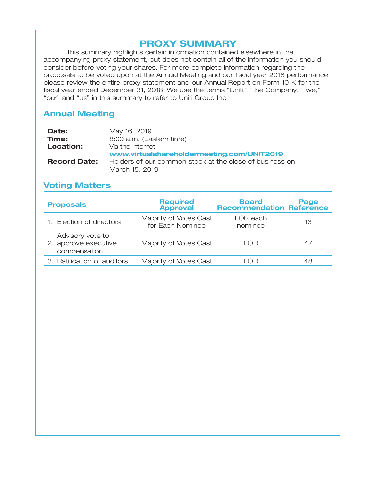# **PROXY SUMMARY**

This summary highlights certain information contained elsewhere in the accompanying proxy statement, but does not contain all of the information you should consider before voting your shares. For more complete information regarding the proposals to be voted upon at the Annual Meeting and our fiscal year 2018 performance, please review the entire proxy statement and our Annual Report on Form 10-K for the fiscal year ended December 31, 2018. We use the terms "Uniti," "the Company," "we," "our" and "us" in this summary to refer to Uniti Group Inc.

## **Annual Meeting**

| Date:               | May 16, 2019                                            |
|---------------------|---------------------------------------------------------|
| Time:               | 8:00 a.m. (Eastern time)                                |
| Location:           | Via the Internet:                                       |
|                     | www.virtualshareholdermeeting.com/UNIT2019              |
| <b>Record Date:</b> | Holders of our common stock at the close of business on |
|                     | March 15, 2019                                          |

## **Voting Matters**

| <b>Proposals</b>                                         | <b>Required</b><br><b>Approval</b>         | <b>Board</b><br><b>Recommendation Reference</b> | Page |
|----------------------------------------------------------|--------------------------------------------|-------------------------------------------------|------|
| 1. Election of directors                                 | Majority of Votes Cast<br>for Each Nominee | FOR each<br>nominee                             | 13   |
| Advisory vote to<br>2. approve executive<br>compensation | Majority of Votes Cast                     | FOR                                             | 47   |
| 3. Ratification of auditors                              | Majority of Votes Cast                     | FOR                                             | 48   |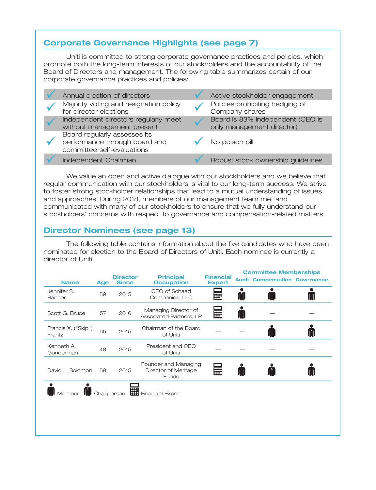## **Corporate Governance Highlights (see page 7)**

Uniti is committed to strong corporate governance practices and policies, which promote both the long-term interests of our stockholders and the accountability of the Board of Directors and management. The following table summarizes certain of our corporate governance practices and policies:

|  | Annual election of directors                                                                | Active stockholder engagement                                 |
|--|---------------------------------------------------------------------------------------------|---------------------------------------------------------------|
|  | Majority voting and resignation policy<br>for director elections                            | Policies prohibiting hedging of<br>Company shares             |
|  | Independent directors regularly meet<br>without management present                          | Board is 83% independent (CEO is<br>only management director) |
|  | Board regularly assesses its<br>performance through board and<br>committee self-evaluations | No poison pill                                                |
|  | Independent Chairman                                                                        | Robust stock ownership guidelines                             |

We value an open and active dialogue with our stockholders and we believe that regular communication with our stockholders is vital to our long-term success. We strive to foster strong stockholder relationships that lead to a mutual understanding of issues and approaches. During 2018, members of our management team met and communicated with many of our stockholders to ensure that we fully understand our stockholders' concerns with respect to governance and compensation-related matters.

## **Director Nominees (see page 13)**

The following table contains information about the five candidates who have been nominated for election to the Board of Directors of Uniti. Each nominee is currently a director of Uniti.

|                               |            |                                 |                                                              |                                   |    | <b>Committee Memberships</b>         |  |
|-------------------------------|------------|---------------------------------|--------------------------------------------------------------|-----------------------------------|----|--------------------------------------|--|
| <b>Name</b>                   | <b>Age</b> | <b>Director</b><br><b>Since</b> | <b>Principal</b><br><b>Occupation</b>                        | <b>Financial</b><br><b>Expert</b> |    | <b>Audit Compensation Governance</b> |  |
| Jennifer S.<br>Banner         | 59         | 2015                            | CEO of Schaad<br>Companies, LLC                              | <b>HE</b>                         | A  |                                      |  |
| Scott G. Bruce                | 57         | 2016                            | Managing Director of<br>Associated Partners, LP              | <b>HE</b>                         | II |                                      |  |
| Francis X. ("Skip")<br>Frantz | 65         | 2015                            | Chairman of the Board<br>of Uniti                            |                                   |    |                                      |  |
| Kenneth A.<br>Gunderman       | 48         | 2015                            | President and CEO<br>of Uniti                                |                                   |    |                                      |  |
| David L. Solomon              | 59         | 2015                            | Founder and Managing<br>Director of Meritage<br><b>Funds</b> | E                                 |    |                                      |  |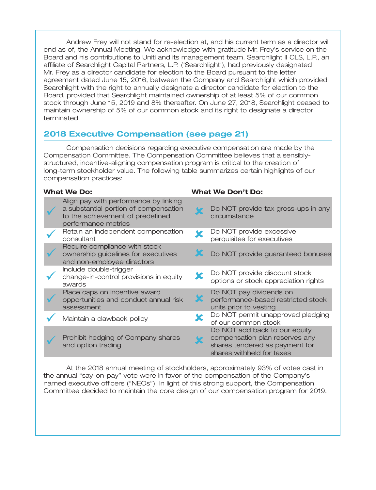Andrew Frey will not stand for re-election at, and his current term as a director will end as of, the Annual Meeting. We acknowledge with gratitude Mr. Frey's service on the Board and his contributions to Uniti and its management team. Searchlight II CLS, L.P., an affiliate of Searchlight Capital Partners, L.P. ('Searchlight'), had previously designated Mr. Frey as a director candidate for election to the Board pursuant to the letter agreement dated June 15, 2016, between the Company and Searchlight which provided Searchlight with the right to annually designate a director candidate for election to the Board, provided that Searchlight maintained ownership of at least 5% of our common stock through June 15, 2019 and 8% thereafter. On June 27, 2018, Searchlight ceased to maintain ownership of 5% of our common stock and its right to designate a director terminated.

## **2018 Executive Compensation (see page 21)**

Compensation decisions regarding executive compensation are made by the Compensation Committee. The Compensation Committee believes that a sensiblystructured, incentive-aligning compensation program is critical to the creation of long-term stockholder value. The following table summarizes certain highlights of our compensation practices:

| <b>What We Do:</b>                                                                                                                        | <b>What We Don't Do:</b>                                                                                                       |
|-------------------------------------------------------------------------------------------------------------------------------------------|--------------------------------------------------------------------------------------------------------------------------------|
| Align pay with performance by linking<br>a substantial portion of compensation<br>to the achievement of predefined<br>performance metrics | Do NOT provide tax gross-ups in any<br>circumstance                                                                            |
| Retain an independent compensation<br>consultant                                                                                          | Do NOT provide excessive<br>perquisites for executives                                                                         |
| Require compliance with stock<br>ownership guidelines for executives<br>and non-employee directors                                        | Do NOT provide guaranteed bonuses                                                                                              |
| Include double-trigger<br>change-in-control provisions in equity<br>awards                                                                | Do NOT provide discount stock<br>options or stock appreciation rights                                                          |
| Place caps on incentive award<br>opportunities and conduct annual risk<br>assessment                                                      | Do NOT pay dividends on<br>performance-based restricted stock<br>units prior to vesting                                        |
| Maintain a clawback policy                                                                                                                | Do NOT permit unapproved pledging<br>of our common stock                                                                       |
| Prohibit hedging of Company shares<br>and option trading                                                                                  | Do NOT add back to our equity<br>compensation plan reserves any<br>shares tendered as payment for<br>shares withheld for taxes |

At the 2018 annual meeting of stockholders, approximately 93% of votes cast in the annual ''say-on-pay'' vote were in favor of the compensation of the Company's named executive officers (''NEOs''). In light of this strong support, the Compensation Committee decided to maintain the core design of our compensation program for 2019.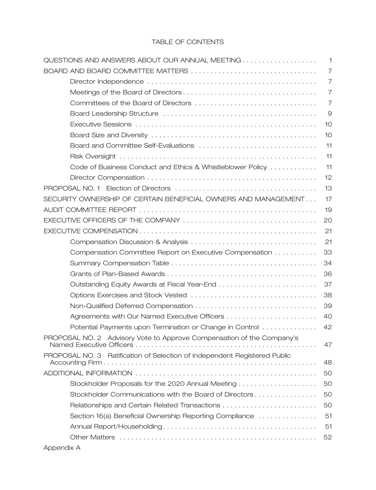## TABLE OF CONTENTS

| BOARD AND BOARD COMMITTEE MATTERS<br>7<br>$\overline{7}$<br>$\overline{7}$<br>$\overline{7}$<br>9<br>10 |
|---------------------------------------------------------------------------------------------------------|
|                                                                                                         |
|                                                                                                         |
|                                                                                                         |
|                                                                                                         |
|                                                                                                         |
|                                                                                                         |
| 10                                                                                                      |
| 11                                                                                                      |
| 11                                                                                                      |
| 11<br>Code of Business Conduct and Ethics & Whistleblower Policy                                        |
| 12                                                                                                      |
| 13                                                                                                      |
| SECURITY OWNERSHIP OF CERTAIN BENEFICIAL OWNERS AND MANAGEMENT<br>17                                    |
| 19                                                                                                      |
| 20                                                                                                      |
| 21                                                                                                      |
| 21                                                                                                      |
| 33<br>Compensation Committee Report on Executive Compensation                                           |
| 34                                                                                                      |
| 36                                                                                                      |
| 37<br>Outstanding Equity Awards at Fiscal Year-End                                                      |
| 38                                                                                                      |
| 39                                                                                                      |
| 40                                                                                                      |
| Potential Payments upon Termination or Change in Control<br>42                                          |
| PROPOSAL NO. 2 Advisory Vote to Approve Compensation of the Company's<br>47                             |
| PROPOSAL NO. 3 Ratification of Selection of Independent Registered Public<br>48                         |
| 50                                                                                                      |
| Stockholder Proposals for the 2020 Annual Meeting<br>50                                                 |
| Stockholder Communications with the Board of Directors<br>50                                            |
| Relationships and Certain Related Transactions<br>50                                                    |
| 51<br>Section 16(a) Beneficial Ownership Reporting Compliance                                           |
| 51                                                                                                      |
| 52                                                                                                      |

Appendix A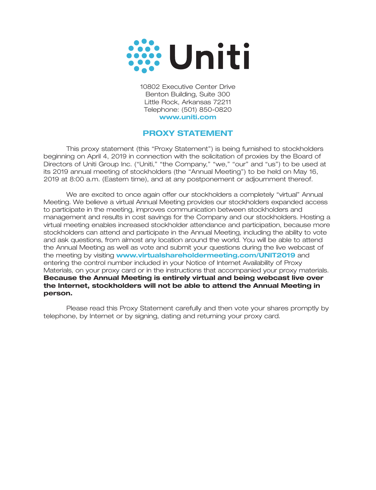

10802 Executive Center Drive Benton Building, Suite 300 Little Rock, Arkansas 72211 Telephone: (501) 850-0820 **www.uniti.com**

## **PROXY STATEMENT**

This proxy statement (this ''Proxy Statement'') is being furnished to stockholders beginning on April 4, 2019 in connection with the solicitation of proxies by the Board of Directors of Uniti Group Inc. ("Uniti," "the Company," "we," "our" and "us") to be used at its 2019 annual meeting of stockholders (the ''Annual Meeting'') to be held on May 16, 2019 at 8:00 a.m. (Eastern time), and at any postponement or adjournment thereof.

We are excited to once again offer our stockholders a completely ''virtual'' Annual Meeting. We believe a virtual Annual Meeting provides our stockholders expanded access to participate in the meeting, improves communication between stockholders and management and results in cost savings for the Company and our stockholders. Hosting a virtual meeting enables increased stockholder attendance and participation, because more stockholders can attend and participate in the Annual Meeting, including the ability to vote and ask questions, from almost any location around the world. You will be able to attend the Annual Meeting as well as vote and submit your questions during the live webcast of the meeting by visiting **www.virtualshareholdermeeting.com/UNIT2019** and entering the control number included in your Notice of Internet Availability of Proxy Materials, on your proxy card or in the instructions that accompanied your proxy materials. **Because the Annual Meeting is entirely virtual and being webcast live over the Internet, stockholders will not be able to attend the Annual Meeting in person.**

Please read this Proxy Statement carefully and then vote your shares promptly by telephone, by Internet or by signing, dating and returning your proxy card.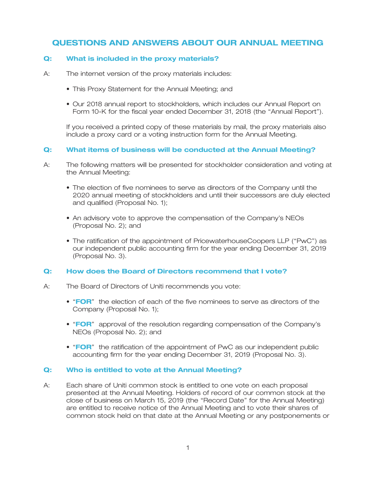## **QUESTIONS AND ANSWERS ABOUT OUR ANNUAL MEETING**

## **Q: What is included in the proxy materials?**

- A: The internet version of the proxy materials includes:
	- This Proxy Statement for the Annual Meeting; and
	- Our 2018 annual report to stockholders, which includes our Annual Report on Form 10-K for the fiscal year ended December 31, 2018 (the "Annual Report").

If you received a printed copy of these materials by mail, the proxy materials also include a proxy card or a voting instruction form for the Annual Meeting.

## **Q: What items of business will be conducted at the Annual Meeting?**

- A: The following matters will be presented for stockholder consideration and voting at the Annual Meeting:
	- The election of five nominees to serve as directors of the Company until the 2020 annual meeting of stockholders and until their successors are duly elected and qualified (Proposal No. 1);
	- An advisory vote to approve the compensation of the Company's NEOs (Proposal No. 2); and
	- The ratification of the appointment of PricewaterhouseCoopers LLP (''PwC'') as our independent public accounting firm for the year ending December 31, 2019 (Proposal No. 3).

## **Q: How does the Board of Directors recommend that I vote?**

- A: The Board of Directors of Uniti recommends you vote:
	- "FOR" the election of each of the five nominees to serve as directors of the Company (Proposal No. 1);
	- "FOR" approval of the resolution regarding compensation of the Company's NEOs (Proposal No. 2); and
	- "FOR" the ratification of the appointment of PwC as our independent public accounting firm for the year ending December 31, 2019 (Proposal No. 3).

#### **Q: Who is entitled to vote at the Annual Meeting?**

A: Each share of Uniti common stock is entitled to one vote on each proposal presented at the Annual Meeting. Holders of record of our common stock at the close of business on March 15, 2019 (the ''Record Date'' for the Annual Meeting) are entitled to receive notice of the Annual Meeting and to vote their shares of common stock held on that date at the Annual Meeting or any postponements or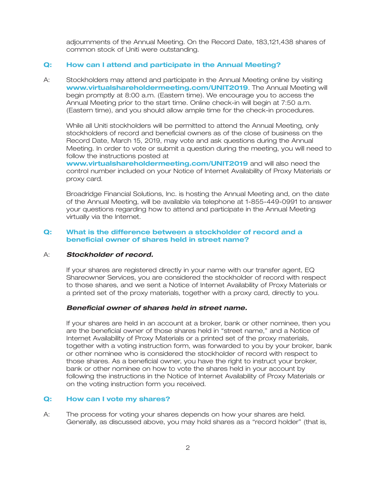adjournments of the Annual Meeting. On the Record Date, 183,121,438 shares of common stock of Uniti were outstanding.

### **Q: How can I attend and participate in the Annual Meeting?**

A: Stockholders may attend and participate in the Annual Meeting online by visiting www.virtualshareholdermeeting.com/UNIT2019. The Annual Meeting will begin promptly at 8:00 a.m. (Eastern time). We encourage you to access the Annual Meeting prior to the start time. Online check-in will begin at 7:50 a.m. (Eastern time), and you should allow ample time for the check-in procedures.

While all Uniti stockholders will be permitted to attend the Annual Meeting, only stockholders of record and beneficial owners as of the close of business on the Record Date, March 15, 2019, may vote and ask questions during the Annual Meeting. In order to vote or submit a question during the meeting, you will need to follow the instructions posted at

www.virtualshareholdermeeting.com/UNIT2019 and will also need the control number included on your Notice of Internet Availability of Proxy Materials or proxy card.

Broadridge Financial Solutions, Inc. is hosting the Annual Meeting and, on the date of the Annual Meeting, will be available via telephone at 1-855-449-0991 to answer your questions regarding how to attend and participate in the Annual Meeting virtually via the Internet.

## **Q: What is the difference between a stockholder of record and a beneficial owner of shares held in street name?**

## A: *Stockholder of record.*

If your shares are registered directly in your name with our transfer agent, EQ Shareowner Services, you are considered the stockholder of record with respect to those shares, and we sent a Notice of Internet Availability of Proxy Materials or a printed set of the proxy materials, together with a proxy card, directly to you.

## *Beneficial owner of shares held in street name.*

If your shares are held in an account at a broker, bank or other nominee, then you are the beneficial owner of those shares held in ''street name,'' and a Notice of Internet Availability of Proxy Materials or a printed set of the proxy materials, together with a voting instruction form, was forwarded to you by your broker, bank or other nominee who is considered the stockholder of record with respect to those shares. As a beneficial owner, you have the right to instruct your broker, bank or other nominee on how to vote the shares held in your account by following the instructions in the Notice of Internet Availability of Proxy Materials or on the voting instruction form you received.

#### **Q: How can I vote my shares?**

A: The process for voting your shares depends on how your shares are held. Generally, as discussed above, you may hold shares as a ''record holder'' (that is,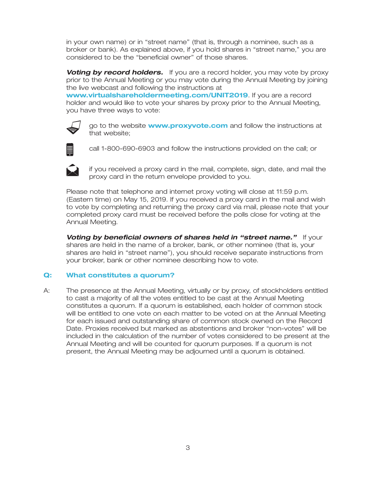in your own name) or in ''street name'' (that is, through a nominee, such as a broker or bank). As explained above, if you hold shares in ''street name,'' you are considered to be the ''beneficial owner'' of those shares.

**Voting by record holders.** If you are a record holder, you may vote by proxy prior to the Annual Meeting or you may vote during the Annual Meeting by joining the live webcast and following the instructions at

www.virtualshareholdermeeting.com/UNIT2019. If you are a record holder and would like to vote your shares by proxy prior to the Annual Meeting, you have three ways to vote:



go to the website **www.proxyvote.com** and follow the instructions at that website;



call 1-800-690-6903 and follow the instructions provided on the call; or



if you received a proxy card in the mail, complete, sign, date, and mail the proxy card in the return envelope provided to you.

Please note that telephone and internet proxy voting will close at 11:59 p.m. (Eastern time) on May 15, 2019. If you received a proxy card in the mail and wish to vote by completing and returning the proxy card via mail, please note that your completed proxy card must be received before the polls close for voting at the Annual Meeting.

**Voting by beneficial owners of shares held in "street name."** If your shares are held in the name of a broker, bank, or other nominee (that is, your shares are held in ''street name''), you should receive separate instructions from your broker, bank or other nominee describing how to vote.

## **Q: What constitutes a quorum?**

A: The presence at the Annual Meeting, virtually or by proxy, of stockholders entitled to cast a majority of all the votes entitled to be cast at the Annual Meeting constitutes a quorum. If a quorum is established, each holder of common stock will be entitled to one vote on each matter to be voted on at the Annual Meeting for each issued and outstanding share of common stock owned on the Record Date. Proxies received but marked as abstentions and broker ''non-votes'' will be included in the calculation of the number of votes considered to be present at the Annual Meeting and will be counted for quorum purposes. If a quorum is not present, the Annual Meeting may be adjourned until a quorum is obtained.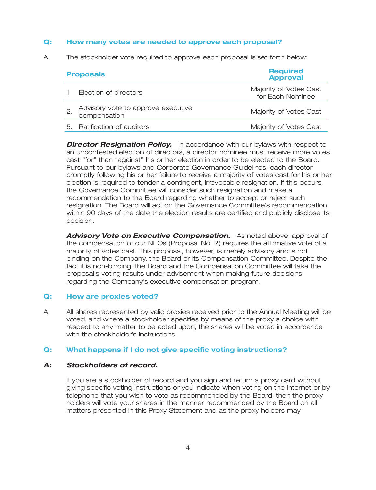### **Q: How many votes are needed to approve each proposal?**

A: The stockholder vote required to approve each proposal is set forth below:

| <b>Proposals</b>                                   | <b>Required</b><br><b>Approval</b>         |
|----------------------------------------------------|--------------------------------------------|
| Election of directors                              | Majority of Votes Cast<br>for Each Nominee |
| Advisory vote to approve executive<br>compensation | Majority of Votes Cast                     |
| 5. Ratification of auditors                        | Majority of Votes Cast                     |

**Director Resignation Policy.** In accordance with our bylaws with respect to an uncontested election of directors, a director nominee must receive more votes cast ''for'' than ''against'' his or her election in order to be elected to the Board. Pursuant to our bylaws and Corporate Governance Guidelines, each director promptly following his or her failure to receive a majority of votes cast for his or her election is required to tender a contingent, irrevocable resignation. If this occurs, the Governance Committee will consider such resignation and make a recommendation to the Board regarding whether to accept or reject such resignation. The Board will act on the Governance Committee's recommendation within 90 days of the date the election results are certified and publicly disclose its decision.

*Advisory Vote on Executive Compensation.* As noted above, approval of the compensation of our NEOs (Proposal No. 2) requires the affirmative vote of a majority of votes cast. This proposal, however, is merely advisory and is not binding on the Company, the Board or its Compensation Committee. Despite the fact it is non-binding, the Board and the Compensation Committee will take the proposal's voting results under advisement when making future decisions regarding the Company's executive compensation program.

#### **Q: How are proxies voted?**

A: All shares represented by valid proxies received prior to the Annual Meeting will be voted, and where a stockholder specifies by means of the proxy a choice with respect to any matter to be acted upon, the shares will be voted in accordance with the stockholder's instructions.

## **Q: What happens if I do not give specific voting instructions?**

## *A: Stockholders of record.*

If you are a stockholder of record and you sign and return a proxy card without giving specific voting instructions or you indicate when voting on the Internet or by telephone that you wish to vote as recommended by the Board, then the proxy holders will vote your shares in the manner recommended by the Board on all matters presented in this Proxy Statement and as the proxy holders may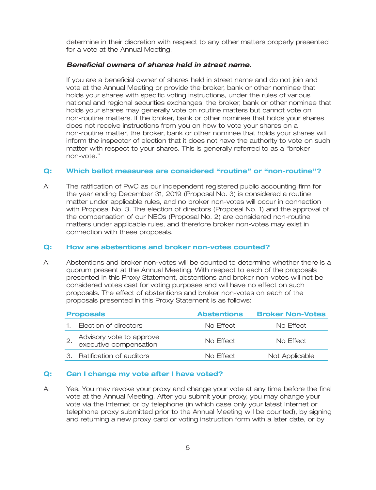determine in their discretion with respect to any other matters properly presented for a vote at the Annual Meeting.

## *Beneficial owners of shares held in street name.*

If you are a beneficial owner of shares held in street name and do not join and vote at the Annual Meeting or provide the broker, bank or other nominee that holds your shares with specific voting instructions, under the rules of various national and regional securities exchanges, the broker, bank or other nominee that holds your shares may generally vote on routine matters but cannot vote on non-routine matters. If the broker, bank or other nominee that holds your shares does not receive instructions from you on how to vote your shares on a non-routine matter, the broker, bank or other nominee that holds your shares will inform the inspector of election that it does not have the authority to vote on such matter with respect to your shares. This is generally referred to as a ''broker non-vote.''

## **Q: Which ballot measures are considered ''routine'' or ''non-routine''?**

A: The ratification of PwC as our independent registered public accounting firm for the year ending December 31, 2019 (Proposal No. 3) is considered a routine matter under applicable rules, and no broker non-votes will occur in connection with Proposal No. 3. The election of directors (Proposal No. 1) and the approval of the compensation of our NEOs (Proposal No. 2) are considered non-routine matters under applicable rules, and therefore broker non-votes may exist in connection with these proposals.

### **Q: How are abstentions and broker non-votes counted?**

A: Abstentions and broker non-votes will be counted to determine whether there is a quorum present at the Annual Meeting. With respect to each of the proposals presented in this Proxy Statement, abstentions and broker non-votes will not be considered votes cast for voting purposes and will have no effect on such proposals. The effect of abstentions and broker non-votes on each of the proposals presented in this Proxy Statement is as follows:

| <b>Proposals</b> |                                                    | <b>Abstentions</b> | <b>Broker Non-Votes</b> |
|------------------|----------------------------------------------------|--------------------|-------------------------|
|                  | Election of directors                              | No Effect          | No Effect               |
|                  | Advisory vote to approve<br>executive compensation | No Effect          | No Effect               |
|                  | 3. Ratification of auditors                        | No Effect          | Not Applicable          |

## **Q: Can I change my vote after I have voted?**

A: Yes. You may revoke your proxy and change your vote at any time before the final vote at the Annual Meeting. After you submit your proxy, you may change your vote via the Internet or by telephone (in which case only your latest Internet or telephone proxy submitted prior to the Annual Meeting will be counted), by signing and returning a new proxy card or voting instruction form with a later date, or by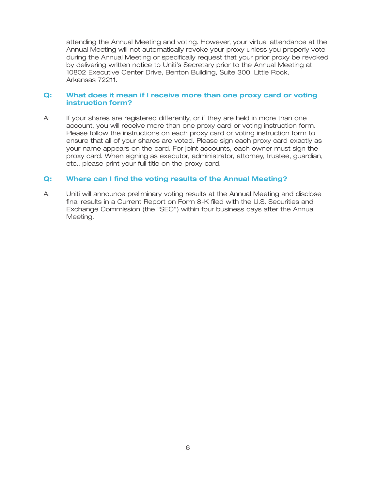attending the Annual Meeting and voting. However, your virtual attendance at the Annual Meeting will not automatically revoke your proxy unless you properly vote during the Annual Meeting or specifically request that your prior proxy be revoked by delivering written notice to Uniti's Secretary prior to the Annual Meeting at 10802 Executive Center Drive, Benton Building, Suite 300, Little Rock, Arkansas 72211.

## **Q: What does it mean if I receive more than one proxy card or voting instruction form?**

A: If your shares are registered differently, or if they are held in more than one account, you will receive more than one proxy card or voting instruction form. Please follow the instructions on each proxy card or voting instruction form to ensure that all of your shares are voted. Please sign each proxy card exactly as your name appears on the card. For joint accounts, each owner must sign the proxy card. When signing as executor, administrator, attorney, trustee, guardian, etc., please print your full title on the proxy card.

## **Q: Where can I find the voting results of the Annual Meeting?**

A: Uniti will announce preliminary voting results at the Annual Meeting and disclose final results in a Current Report on Form 8-K filed with the U.S. Securities and Exchange Commission (the ''SEC'') within four business days after the Annual Meeting.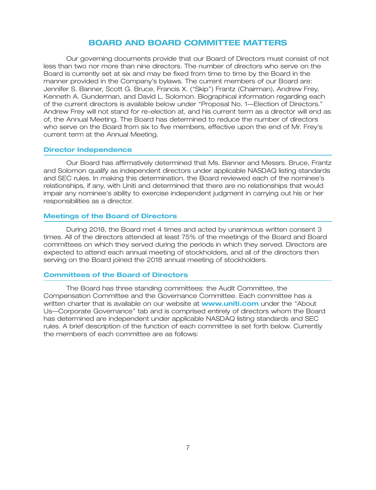## **BOARD AND BOARD COMMITTEE MATTERS**

Our governing documents provide that our Board of Directors must consist of not less than two nor more than nine directors. The number of directors who serve on the Board is currently set at six and may be fixed from time to time by the Board in the manner provided in the Company's bylaws. The current members of our Board are: Jennifer S. Banner, Scott G. Bruce, Francis X. (''Skip'') Frantz (Chairman), Andrew Frey, Kenneth A. Gunderman, and David L. Solomon. Biographical information regarding each of the current directors is available below under ''Proposal No. 1—Election of Directors.'' Andrew Frey will not stand for re-election at, and his current term as a director will end as of, the Annual Meeting. The Board has determined to reduce the number of directors who serve on the Board from six to five members, effective upon the end of Mr. Frey's current term at the Annual Meeting.

### **Director Independence**

Our Board has affirmatively determined that Ms. Banner and Messrs. Bruce, Frantz and Solomon qualify as independent directors under applicable NASDAQ listing standards and SEC rules. In making this determination, the Board reviewed each of the nominee's relationships, if any, with Uniti and determined that there are no relationships that would impair any nominee's ability to exercise independent judgment in carrying out his or her responsibilities as a director.

### **Meetings of the Board of Directors**

During 2018, the Board met 4 times and acted by unanimous written consent 3 times. All of the directors attended at least 75% of the meetings of the Board and Board committees on which they served during the periods in which they served. Directors are expected to attend each annual meeting of stockholders, and all of the directors then serving on the Board joined the 2018 annual meeting of stockholders.

## **Committees of the Board of Directors**

The Board has three standing committees: the Audit Committee, the Compensation Committee and the Governance Committee. Each committee has a written charter that is available on our website at **www.uniti.com** under the "About Us—Corporate Governance'' tab and is comprised entirely of directors whom the Board has determined are independent under applicable NASDAQ listing standards and SEC rules. A brief description of the function of each committee is set forth below. Currently the members of each committee are as follows: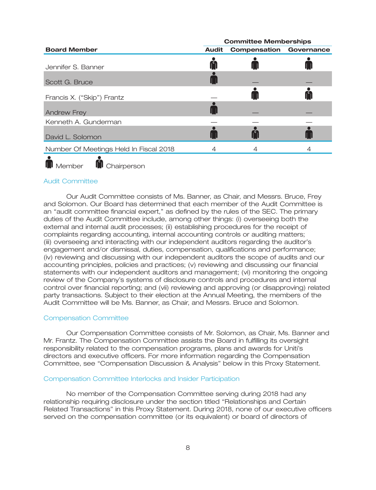|                                        | <b>Committee Memberships</b> |                                |  |  |
|----------------------------------------|------------------------------|--------------------------------|--|--|
| <b>Board Member</b>                    | <b>Audit</b>                 | <b>Compensation Governance</b> |  |  |
| Jennifer S. Banner                     |                              |                                |  |  |
| Scott G. Bruce                         |                              |                                |  |  |
| Francis X. ("Skip") Frantz             |                              |                                |  |  |
| <b>Andrew Frey</b>                     |                              |                                |  |  |
| Kenneth A. Gunderman                   |                              |                                |  |  |
| David L. Solomon                       |                              |                                |  |  |
| Number Of Meetings Held In Fiscal 2018 |                              |                                |  |  |
|                                        |                              |                                |  |  |

#### Audit Committee

 $\blacksquare$  Chairperson

 $\blacksquare$  Member

Our Audit Committee consists of Ms. Banner, as Chair, and Messrs. Bruce, Frey and Solomon. Our Board has determined that each member of the Audit Committee is an ''audit committee financial expert,'' as defined by the rules of the SEC. The primary duties of the Audit Committee include, among other things: (i) overseeing both the external and internal audit processes; (ii) establishing procedures for the receipt of complaints regarding accounting, internal accounting controls or auditing matters; (iii) overseeing and interacting with our independent auditors regarding the auditor's engagement and/or dismissal, duties, compensation, qualifications and performance; (iv) reviewing and discussing with our independent auditors the scope of audits and our accounting principles, policies and practices; (v) reviewing and discussing our financial statements with our independent auditors and management; (vi) monitoring the ongoing review of the Company's systems of disclosure controls and procedures and internal control over financial reporting; and (vii) reviewing and approving (or disapproving) related party transactions. Subject to their election at the Annual Meeting, the members of the Audit Committee will be Ms. Banner, as Chair, and Messrs. Bruce and Solomon.

#### Compensation Committee

Our Compensation Committee consists of Mr. Solomon, as Chair, Ms. Banner and Mr. Frantz. The Compensation Committee assists the Board in fulfilling its oversight responsibility related to the compensation programs, plans and awards for Uniti's directors and executive officers. For more information regarding the Compensation Committee, see ''Compensation Discussion & Analysis'' below in this Proxy Statement.

#### Compensation Committee Interlocks and Insider Participation

No member of the Compensation Committee serving during 2018 had any relationship requiring disclosure under the section titled ''Relationships and Certain Related Transactions'' in this Proxy Statement. During 2018, none of our executive officers served on the compensation committee (or its equivalent) or board of directors of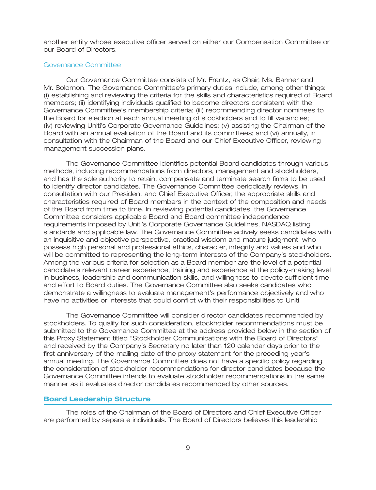another entity whose executive officer served on either our Compensation Committee or our Board of Directors.

## Governance Committee

Our Governance Committee consists of Mr. Frantz, as Chair, Ms. Banner and Mr. Solomon. The Governance Committee's primary duties include, among other things: (i) establishing and reviewing the criteria for the skills and characteristics required of Board members; (ii) identifying individuals qualified to become directors consistent with the Governance Committee's membership criteria; (iii) recommending director nominees to the Board for election at each annual meeting of stockholders and to fill vacancies; (iv) reviewing Uniti's Corporate Governance Guidelines; (v) assisting the Chairman of the Board with an annual evaluation of the Board and its committees; and (vi) annually, in consultation with the Chairman of the Board and our Chief Executive Officer, reviewing management succession plans.

The Governance Committee identifies potential Board candidates through various methods, including recommendations from directors, management and stockholders, and has the sole authority to retain, compensate and terminate search firms to be used to identify director candidates. The Governance Committee periodically reviews, in consultation with our President and Chief Executive Officer, the appropriate skills and characteristics required of Board members in the context of the composition and needs of the Board from time to time. In reviewing potential candidates, the Governance Committee considers applicable Board and Board committee independence requirements imposed by Uniti's Corporate Governance Guidelines, NASDAQ listing standards and applicable law. The Governance Committee actively seeks candidates with an inquisitive and objective perspective, practical wisdom and mature judgment, who possess high personal and professional ethics, character, integrity and values and who will be committed to representing the long-term interests of the Company's stockholders. Among the various criteria for selection as a Board member are the level of a potential candidate's relevant career experience, training and experience at the policy-making level in business, leadership and communication skills, and willingness to devote sufficient time and effort to Board duties. The Governance Committee also seeks candidates who demonstrate a willingness to evaluate management's performance objectively and who have no activities or interests that could conflict with their responsibilities to Uniti.

The Governance Committee will consider director candidates recommended by stockholders. To qualify for such consideration, stockholder recommendations must be submitted to the Governance Committee at the address provided below in the section of this Proxy Statement titled ''Stockholder Communications with the Board of Directors'' and received by the Company's Secretary no later than 120 calendar days prior to the first anniversary of the mailing date of the proxy statement for the preceding year's annual meeting. The Governance Committee does not have a specific policy regarding the consideration of stockholder recommendations for director candidates because the Governance Committee intends to evaluate stockholder recommendations in the same manner as it evaluates director candidates recommended by other sources.

## **Board Leadership Structure**

The roles of the Chairman of the Board of Directors and Chief Executive Officer are performed by separate individuals. The Board of Directors believes this leadership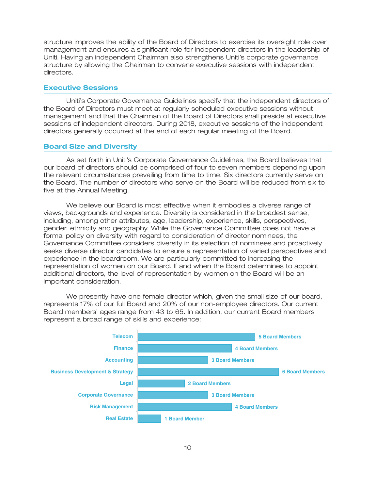structure improves the ability of the Board of Directors to exercise its oversight role over management and ensures a significant role for independent directors in the leadership of Uniti. Having an independent Chairman also strengthens Uniti's corporate governance structure by allowing the Chairman to convene executive sessions with independent directors.

### **Executive Sessions**

Uniti's Corporate Governance Guidelines specify that the independent directors of the Board of Directors must meet at regularly scheduled executive sessions without management and that the Chairman of the Board of Directors shall preside at executive sessions of independent directors. During 2018, executive sessions of the independent directors generally occurred at the end of each regular meeting of the Board.

#### **Board Size and Diversity**

As set forth in Uniti's Corporate Governance Guidelines, the Board believes that our board of directors should be comprised of four to seven members depending upon the relevant circumstances prevailing from time to time. Six directors currently serve on the Board. The number of directors who serve on the Board will be reduced from six to five at the Annual Meeting.

We believe our Board is most effective when it embodies a diverse range of views, backgrounds and experience. Diversity is considered in the broadest sense, including, among other attributes, age, leadership, experience, skills, perspectives, gender, ethnicity and geography. While the Governance Committee does not have a formal policy on diversity with regard to consideration of director nominees, the Governance Committee considers diversity in its selection of nominees and proactively seeks diverse director candidates to ensure a representation of varied perspectives and experience in the boardroom. We are particularly committed to increasing the representation of women on our Board. If and when the Board determines to appoint additional directors, the level of representation by women on the Board will be an important consideration.

We presently have one female director which, given the small size of our board, represents 17% of our full Board and 20% of our non-employee directors. Our current Board members' ages range from 43 to 65. In addition, our current Board members represent a broad range of skills and experience:

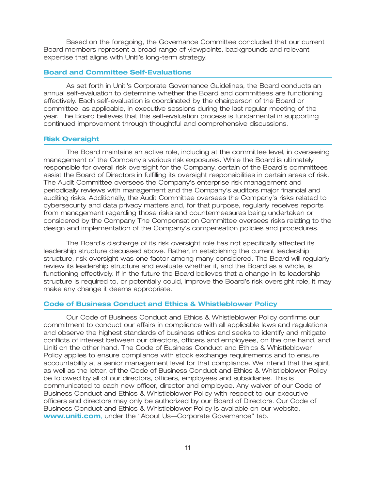Based on the foregoing, the Governance Committee concluded that our current Board members represent a broad range of viewpoints, backgrounds and relevant expertise that aligns with Uniti's long-term strategy.

### **Board and Committee Self-Evaluations**

As set forth in Uniti's Corporate Governance Guidelines, the Board conducts an annual self-evaluation to determine whether the Board and committees are functioning effectively. Each self-evaluation is coordinated by the chairperson of the Board or committee, as applicable, in executive sessions during the last regular meeting of the year. The Board believes that this self-evaluation process is fundamental in supporting continued improvement through thoughtful and comprehensive discussions.

#### **Risk Oversight**

The Board maintains an active role, including at the committee level, in overseeing management of the Company's various risk exposures. While the Board is ultimately responsible for overall risk oversight for the Company, certain of the Board's committees assist the Board of Directors in fulfilling its oversight responsibilities in certain areas of risk. The Audit Committee oversees the Company's enterprise risk management and periodically reviews with management and the Company's auditors major financial and auditing risks. Additionally, the Audit Committee oversees the Company's risks related to cybersecurity and data privacy matters and, for that purpose, regularly receives reports from management regarding those risks and countermeasures being undertaken or considered by the Company The Compensation Committee oversees risks relating to the design and implementation of the Company's compensation policies and procedures.

The Board's discharge of its risk oversight role has not specifically affected its leadership structure discussed above. Rather, in establishing the current leadership structure, risk oversight was one factor among many considered. The Board will regularly review its leadership structure and evaluate whether it, and the Board as a whole, is functioning effectively. If in the future the Board believes that a change in its leadership structure is required to, or potentially could, improve the Board's risk oversight role, it may make any change it deems appropriate.

## **Code of Business Conduct and Ethics & Whistleblower Policy**

Our Code of Business Conduct and Ethics & Whistleblower Policy confirms our commitment to conduct our affairs in compliance with all applicable laws and regulations and observe the highest standards of business ethics and seeks to identify and mitigate conflicts of interest between our directors, officers and employees, on the one hand, and Uniti on the other hand. The Code of Business Conduct and Ethics & Whistleblower Policy applies to ensure compliance with stock exchange requirements and to ensure accountability at a senior management level for that compliance. We intend that the spirit, as well as the letter, of the Code of Business Conduct and Ethics & Whistleblower Policy be followed by all of our directors, officers, employees and subsidiaries. This is communicated to each new officer, director and employee. Any waiver of our Code of Business Conduct and Ethics & Whistleblower Policy with respect to our executive officers and directors may only be authorized by our Board of Directors. Our Code of Business Conduct and Ethics & Whistleblower Policy is available on our website, www.uniti.com, under the "About Us-Corporate Governance" tab.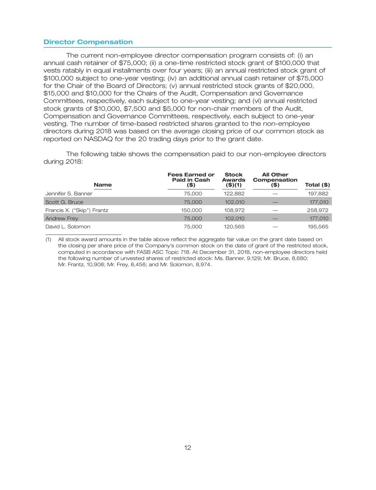### **Director Compensation**

The current non-employee director compensation program consists of: (i) an annual cash retainer of \$75,000; (ii) a one-time restricted stock grant of \$100,000 that vests ratably in equal installments over four years; (iii) an annual restricted stock grant of \$100,000 subject to one-year vesting; (iv) an additional annual cash retainer of \$75,000 for the Chair of the Board of Directors; (v) annual restricted stock grants of \$20,000, \$15,000 and \$10,000 for the Chairs of the Audit, Compensation and Governance Committees, respectively, each subject to one-year vesting; and (vi) annual restricted stock grants of \$10,000, \$7,500 and \$5,000 for non-chair members of the Audit, Compensation and Governance Committees, respectively, each subject to one-year vesting. The number of time-based restricted shares granted to the non-employee directors during 2018 was based on the average closing price of our common stock as reported on NASDAQ for the 20 trading days prior to the grant date.

The following table shows the compensation paid to our non-employee directors during 2018:

| <b>Name</b>                | <b>Fees Earned or</b><br><b>Paid in Cash</b><br>(\$) | <b>Stock</b><br><b>Awards</b><br>$($ \$)(1) | <b>All Other</b><br>Compensation<br>(\$) | Total (\$) |
|----------------------------|------------------------------------------------------|---------------------------------------------|------------------------------------------|------------|
| Jennifer S. Banner         | 75,000                                               | 122.882                                     |                                          | 197,882    |
| Scott G. Bruce             | 75,000                                               | 102,010                                     |                                          | 177,010    |
| Francis X. ("Skip") Frantz | 150,000                                              | 108.972                                     |                                          | 258,972    |
| <b>Andrew Frey</b>         | 75,000                                               | 102,010                                     |                                          | 177,010    |
| David L. Solomon           | 75,000                                               | 120.565                                     |                                          | 195.565    |

(1) All stock award amounts in the table above reflect the aggregate fair value on the grant date based on the closing per share price of the Company's common stock on the date of grant of the restricted stock, computed in accordance with FASB ASC Topic 718. At December 31, 2018, non-employee directors held the following number of unvested shares of restricted stock: Ms. Banner, 9,129; Mr. Bruce, 8,680; Mr. Frantz, 10,908; Mr. Frey, 8,456; and Mr. Solomon, 8,974.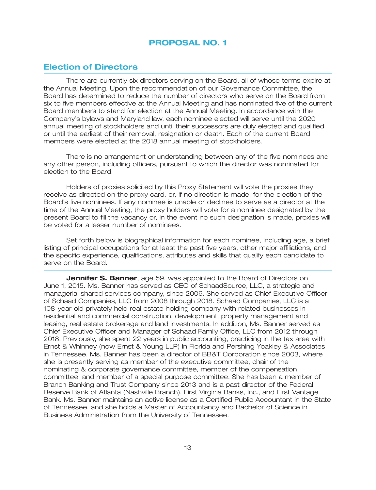## **PROPOSAL NO. 1**

## **Election of Directors**

There are currently six directors serving on the Board, all of whose terms expire at the Annual Meeting. Upon the recommendation of our Governance Committee, the Board has determined to reduce the number of directors who serve on the Board from six to five members effective at the Annual Meeting and has nominated five of the current Board members to stand for election at the Annual Meeting. In accordance with the Company's bylaws and Maryland law, each nominee elected will serve until the 2020 annual meeting of stockholders and until their successors are duly elected and qualified or until the earliest of their removal, resignation or death. Each of the current Board members were elected at the 2018 annual meeting of stockholders.

There is no arrangement or understanding between any of the five nominees and any other person, including officers, pursuant to which the director was nominated for election to the Board.

Holders of proxies solicited by this Proxy Statement will vote the proxies they receive as directed on the proxy card, or, if no direction is made, for the election of the Board's five nominees. If any nominee is unable or declines to serve as a director at the time of the Annual Meeting, the proxy holders will vote for a nominee designated by the present Board to fill the vacancy or, in the event no such designation is made, proxies will be voted for a lesser number of nominees.

Set forth below is biographical information for each nominee, including age, a brief listing of principal occupations for at least the past five years, other major affiliations, and the specific experience, qualifications, attributes and skills that qualify each candidate to serve on the Board.

**Jennifer S. Banner**, age 59, was appointed to the Board of Directors on June 1, 2015. Ms. Banner has served as CEO of SchaadSource, LLC, a strategic and managerial shared services company, since 2006. She served as Chief Executive Officer of Schaad Companies, LLC from 2008 through 2018. Schaad Companies, LLC is a 108-year-old privately held real estate holding company with related businesses in residential and commercial construction, development, property management and leasing, real estate brokerage and land investments. In addition, Ms. Banner served as Chief Executive Officer and Manager of Schaad Family Office, LLC from 2012 through 2018. Previously, she spent 22 years in public accounting, practicing in the tax area with Ernst & Whinney (now Ernst & Young LLP) in Florida and Pershing Yoakley & Associates in Tennessee. Ms. Banner has been a director of BB&T Corporation since 2003, where she is presently serving as member of the executive committee, chair of the nominating & corporate governance committee, member of the compensation committee, and member of a special purpose committee. She has been a member of Branch Banking and Trust Company since 2013 and is a past director of the Federal Reserve Bank of Atlanta (Nashville Branch), First Virginia Banks, Inc., and First Vantage Bank. Ms. Banner maintains an active license as a Certified Public Accountant in the State of Tennessee, and she holds a Master of Accountancy and Bachelor of Science in Business Administration from the University of Tennessee.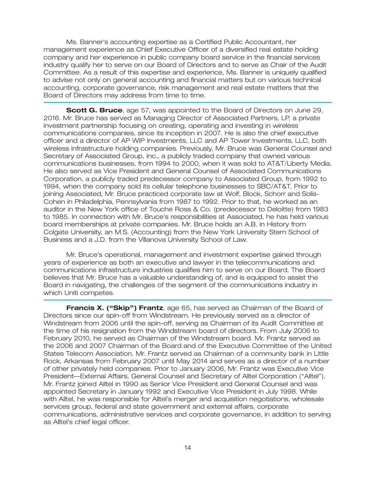Ms. Banner's accounting expertise as a Certified Public Accountant, her management experience as Chief Executive Officer of a diversified real estate holding company and her experience in public company board service in the financial services industry qualify her to serve on our Board of Directors and to serve as Chair of the Audit Committee. As a result of this expertise and experience, Ms. Banner is uniquely qualified to advise not only on general accounting and financial matters but on various technical accounting, corporate governance, risk management and real estate matters that the Board of Directors may address from time to time.

**Scott G. Bruce**, age 57, was appointed to the Board of Directors on June 29, 2016. Mr. Bruce has served as Managing Director of Associated Partners, LP, a private investment partnership focusing on creating, operating and investing in wireless communications companies, since its inception in 2007. He is also the chief executive officer and a director of AP WIP Investments, LLC and AP Tower Investments, LLC, both wireless infrastructure holding companies. Previously, Mr. Bruce was General Counsel and Secretary of Associated Group, Inc., a publicly traded company that owned various communications businesses, from 1994 to 2000, when it was sold to AT&T/Liberty Media. He also served as Vice President and General Counsel of Associated Communications Corporation, a publicly traded predecessor company to Associated Group, from 1992 to 1994, when the company sold its cellular telephone businesses to SBC/AT&T. Prior to joining Associated, Mr. Bruce practiced corporate law at Wolf, Block, Schorr and Solis-Cohen in Philadelphia, Pennsylvania from 1987 to 1992. Prior to that, he worked as an auditor in the New York office of Touche Ross & Co. (predecessor to Deloitte) from 1983 to 1985. In connection with Mr. Bruce's responsibilities at Associated, he has held various board memberships at private companies. Mr. Bruce holds an A.B. in History from Colgate University, an M.S. (Accounting) from the New York University Stern School of Business and a J.D. from the Villanova University School of Law.

Mr. Bruce's operational, management and investment expertise gained through years of experience as both an executive and lawyer in the telecommunications and communications infrastructure industries qualifies him to serve on our Board. The Board believes that Mr. Bruce has a valuable understanding of, and is equipped to assist the Board in navigating, the challenges of the segment of the communications industry in which Uniti competes.

**Francis X. (''Skip'') Frantz**, age 65, has served as Chairman of the Board of Directors since our spin-off from Windstream. He previously served as a director of Windstream from 2006 until the spin-off, serving as Chairman of its Audit Committee at the time of his resignation from the Windstream board of directors. From July 2006 to February 2010, he served as Chairman of the Windstream board. Mr. Frantz served as the 2006 and 2007 Chairman of the Board and of the Executive Committee of the United States Telecom Association. Mr. Frantz served as Chairman of a community bank in Little Rock, Arkansas from February 2007 until May 2014 and serves as a director of a number of other privately held companies. Prior to January 2006, Mr. Frantz was Executive Vice President—External Affairs, General Counsel and Secretary of Alltel Corporation (''Alltel''). Mr. Frantz joined Alltel in 1990 as Senior Vice President and General Counsel and was appointed Secretary in January 1992 and Executive Vice President in July 1998. While with Alltel, he was responsible for Alltel's merger and acquisition negotiations, wholesale services group, federal and state government and external affairs, corporate communications, administrative services and corporate governance, in addition to serving as Alltel's chief legal officer.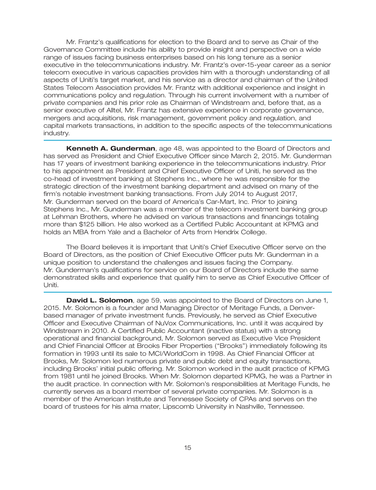Mr. Frantz's qualifications for election to the Board and to serve as Chair of the Governance Committee include his ability to provide insight and perspective on a wide range of issues facing business enterprises based on his long tenure as a senior executive in the telecommunications industry. Mr. Frantz's over-15-year career as a senior telecom executive in various capacities provides him with a thorough understanding of all aspects of Uniti's target market, and his service as a director and chairman of the United States Telecom Association provides Mr. Frantz with additional experience and insight in communications policy and regulation. Through his current involvement with a number of private companies and his prior role as Chairman of Windstream and, before that, as a senior executive of Alltel, Mr. Frantz has extensive experience in corporate governance, mergers and acquisitions, risk management, government policy and regulation, and capital markets transactions, in addition to the specific aspects of the telecommunications industry.

**Kenneth A. Gunderman**, age 48, was appointed to the Board of Directors and has served as President and Chief Executive Officer since March 2, 2015. Mr. Gunderman has 17 years of investment banking experience in the telecommunications industry. Prior to his appointment as President and Chief Executive Officer of Uniti, he served as the co-head of investment banking at Stephens Inc., where he was responsible for the strategic direction of the investment banking department and advised on many of the firm's notable investment banking transactions. From July 2014 to August 2017, Mr. Gunderman served on the board of America's Car-Mart, Inc. Prior to joining Stephens Inc., Mr. Gunderman was a member of the telecom investment banking group at Lehman Brothers, where he advised on various transactions and financings totaling more than \$125 billion. He also worked as a Certified Public Accountant at KPMG and holds an MBA from Yale and a Bachelor of Arts from Hendrix College.

The Board believes it is important that Uniti's Chief Executive Officer serve on the Board of Directors, as the position of Chief Executive Officer puts Mr. Gunderman in a unique position to understand the challenges and issues facing the Company. Mr. Gunderman's qualifications for service on our Board of Directors include the same demonstrated skills and experience that qualify him to serve as Chief Executive Officer of Uniti.

**David L. Solomon**, age 59, was appointed to the Board of Directors on June 1, 2015. Mr. Solomon is a founder and Managing Director of Meritage Funds, a Denverbased manager of private investment funds. Previously, he served as Chief Executive Officer and Executive Chairman of NuVox Communications, Inc. until it was acquired by Windstream in 2010. A Certified Public Accountant (inactive status) with a strong operational and financial background, Mr. Solomon served as Executive Vice President and Chief Financial Officer at Brooks Fiber Properties (''Brooks'') immediately following its formation in 1993 until its sale to MCI/WorldCom in 1998. As Chief Financial Officer at Brooks, Mr. Solomon led numerous private and public debt and equity transactions, including Brooks' initial public offering. Mr. Solomon worked in the audit practice of KPMG from 1981 until he joined Brooks. When Mr. Solomon departed KPMG, he was a Partner in the audit practice. In connection with Mr. Solomon's responsibilities at Meritage Funds, he currently serves as a board member of several private companies. Mr. Solomon is a member of the American Institute and Tennessee Society of CPAs and serves on the board of trustees for his alma mater, Lipscomb University in Nashville, Tennessee.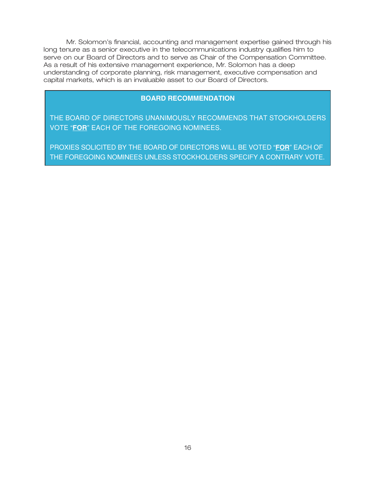Mr. Solomon's financial, accounting and management expertise gained through his long tenure as a senior executive in the telecommunications industry qualifies him to serve on our Board of Directors and to serve as Chair of the Compensation Committee. As a result of his extensive management experience, Mr. Solomon has a deep understanding of corporate planning, risk management, executive compensation and capital markets, which is an invaluable asset to our Board of Directors.

## **BOARD RECOMMENDATION**

THE BOARD OF DIRECTORS UNANIMOUSLY RECOMMENDS THAT STOCKHOLDERS VOTE "**FOR**" EACH OF THE FOREGOING NOMINEES.

PROXIES SOLICITED BY THE BOARD OF DIRECTORS WILL BE VOTED "**FOR**" EACH OF THE FOREGOING NOMINEES UNLESS STOCKHOLDERS SPECIFY A CONTRARY VOTE.

2APR 2019 12APR 2019 12APR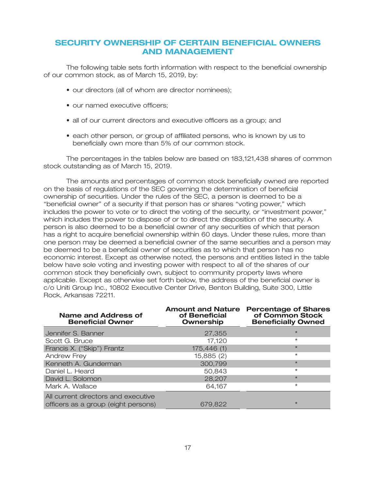## **SECURITY OWNERSHIP OF CERTAIN BENEFICIAL OWNERS AND MANAGEMENT**

The following table sets forth information with respect to the beneficial ownership of our common stock, as of March 15, 2019, by:

- our directors (all of whom are director nominees);
- our named executive officers;
- all of our current directors and executive officers as a group; and
- each other person, or group of affiliated persons, who is known by us to beneficially own more than 5% of our common stock.

The percentages in the tables below are based on 183,121,438 shares of common stock outstanding as of March 15, 2019.

The amounts and percentages of common stock beneficially owned are reported on the basis of regulations of the SEC governing the determination of beneficial ownership of securities. Under the rules of the SEC, a person is deemed to be a ''beneficial owner'' of a security if that person has or shares ''voting power,'' which includes the power to vote or to direct the voting of the security, or ''investment power,'' which includes the power to dispose of or to direct the disposition of the security. A person is also deemed to be a beneficial owner of any securities of which that person has a right to acquire beneficial ownership within 60 days. Under these rules, more than one person may be deemed a beneficial owner of the same securities and a person may be deemed to be a beneficial owner of securities as to which that person has no economic interest. Except as otherwise noted, the persons and entities listed in the table below have sole voting and investing power with respect to all of the shares of our common stock they beneficially own, subject to community property laws where applicable. Except as otherwise set forth below, the address of the beneficial owner is c/o Uniti Group Inc., 10802 Executive Center Drive, Benton Building, Suite 300, Little Rock, Arkansas 72211.

| Name and Address of<br><b>Beneficial Owner</b>                             | <b>Amount and Nature</b><br>of Beneficial<br><b>Ownership</b> | <b>Percentage of Shares</b><br>of Common Stock<br><b>Beneficially Owned</b> |
|----------------------------------------------------------------------------|---------------------------------------------------------------|-----------------------------------------------------------------------------|
| Jennifer S. Banner                                                         | 27,355                                                        | $\star$                                                                     |
| Scott G. Bruce                                                             | 17,120                                                        | $\star$                                                                     |
| Francis X. ("Skip") Frantz                                                 | 175,446 (1)                                                   | $\star$                                                                     |
| Andrew Frey                                                                | 15,885 (2)                                                    | $\star$                                                                     |
| Kenneth A. Gunderman                                                       | 300,799                                                       | $\star$                                                                     |
| Daniel L. Heard                                                            | 50,843                                                        | $\star$                                                                     |
| David L. Solomon                                                           | 28,207                                                        | $\star$                                                                     |
| Mark A. Wallace                                                            | 64,167                                                        | $\star$                                                                     |
| All current directors and executive<br>officers as a group (eight persons) | 679,822                                                       | $\star$                                                                     |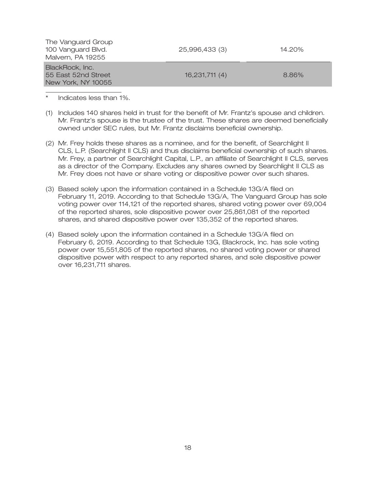| The Vanguard Group<br>100 Vanguard Blvd.<br>Malvern, PA 19255 | 25,996,433 (3) | 14.20% |
|---------------------------------------------------------------|----------------|--------|
| BlackRock, Inc.<br>55 East 52nd Street<br>New York, NY 10055  | 16,231,711 (4) | 8.86%  |

Indicates less than 1%.

- (1) Includes 140 shares held in trust for the benefit of Mr. Frantz's spouse and children. Mr. Frantz's spouse is the trustee of the trust. These shares are deemed beneficially owned under SEC rules, but Mr. Frantz disclaims beneficial ownership.
- (2) Mr. Frey holds these shares as a nominee, and for the benefit, of Searchlight II CLS, L.P. (Searchlight II CLS) and thus disclaims beneficial ownership of such shares. Mr. Frey, a partner of Searchlight Capital, L.P., an affiliate of Searchlight II CLS, serves as a director of the Company. Excludes any shares owned by Searchlight II CLS as Mr. Frey does not have or share voting or dispositive power over such shares.
- (3) Based solely upon the information contained in a Schedule 13G/A filed on February 11, 2019. According to that Schedule 13G/A, The Vanguard Group has sole voting power over 114,121 of the reported shares, shared voting power over 69,004 of the reported shares, sole dispositive power over 25,861,081 of the reported shares, and shared dispositive power over 135,352 of the reported shares.
- (4) Based solely upon the information contained in a Schedule 13G/A filed on February 6, 2019. According to that Schedule 13G, Blackrock, Inc. has sole voting power over 15,551,805 of the reported shares, no shared voting power or shared dispositive power with respect to any reported shares, and sole dispositive power over 16,231,711 shares.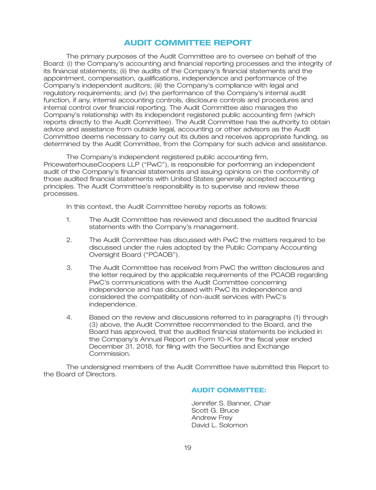## **AUDIT COMMITTEE REPORT**

The primary purposes of the Audit Committee are to oversee on behalf of the Board: (i) the Company's accounting and financial reporting processes and the integrity of its financial statements; (ii) the audits of the Company's financial statements and the appointment, compensation, qualifications, independence and performance of the Company's independent auditors; (iii) the Company's compliance with legal and regulatory requirements; and (iv) the performance of the Company's internal audit function, if any, internal accounting controls, disclosure controls and procedures and internal control over financial reporting. The Audit Committee also manages the Company's relationship with its independent registered public accounting firm (which reports directly to the Audit Committee). The Audit Committee has the authority to obtain advice and assistance from outside legal, accounting or other advisors as the Audit Committee deems necessary to carry out its duties and receives appropriate funding, as determined by the Audit Committee, from the Company for such advice and assistance.

The Company's independent registered public accounting firm, PricewaterhouseCoopers LLP (''PwC''), is responsible for performing an independent audit of the Company's financial statements and issuing opinions on the conformity of those audited financial statements with United States generally accepted accounting principles. The Audit Committee's responsibility is to supervise and review these processes.

In this context, the Audit Committee hereby reports as follows:

- 1. The Audit Committee has reviewed and discussed the audited financial statements with the Company's management.
- 2. The Audit Committee has discussed with PwC the matters required to be discussed under the rules adopted by the Public Company Accounting Oversight Board ("PCAOB").
- 3. The Audit Committee has received from PwC the written disclosures and the letter required by the applicable requirements of the PCAOB regarding PwC's communications with the Audit Committee concerning independence and has discussed with PwC its independence and considered the compatibility of non-audit services with PwC's independence.
- 4. Based on the review and discussions referred to in paragraphs (1) through (3) above, the Audit Committee recommended to the Board, and the Board has approved, that the audited financial statements be included in the Company's Annual Report on Form 10-K for the fiscal year ended December 31, 2018, for filing with the Securities and Exchange Commission.

The undersigned members of the Audit Committee have submitted this Report to the Board of Directors.

## **AUDIT COMMITTEE:**

Jennifer S. Banner, *Chair* Scott G. Bruce Andrew Frey David L. Solomon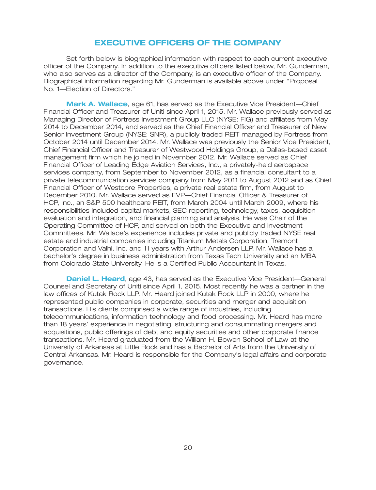## **EXECUTIVE OFFICERS OF THE COMPANY**

Set forth below is biographical information with respect to each current executive officer of the Company. In addition to the executive officers listed below, Mr. Gunderman, who also serves as a director of the Company, is an executive officer of the Company. Biographical information regarding Mr. Gunderman is available above under ''Proposal No. 1—Election of Directors.''

**Mark A. Wallace**, age 61, has served as the Executive Vice President—Chief Financial Officer and Treasurer of Uniti since April 1, 2015. Mr. Wallace previously served as Managing Director of Fortress Investment Group LLC (NYSE: FIG) and affiliates from May 2014 to December 2014, and served as the Chief Financial Officer and Treasurer of New Senior Investment Group (NYSE: SNR), a publicly traded REIT managed by Fortress from October 2014 until December 2014. Mr. Wallace was previously the Senior Vice President, Chief Financial Officer and Treasurer of Westwood Holdings Group, a Dallas-based asset management firm which he joined in November 2012. Mr. Wallace served as Chief Financial Officer of Leading Edge Aviation Services, Inc., a privately-held aerospace services company, from September to November 2012, as a financial consultant to a private telecommunication services company from May 2011 to August 2012 and as Chief Financial Officer of Westcore Properties, a private real estate firm, from August to December 2010. Mr. Wallace served as EVP—Chief Financial Officer & Treasurer of HCP, Inc., an S&P 500 healthcare REIT, from March 2004 until March 2009, where his responsibilities included capital markets, SEC reporting, technology, taxes, acquisition evaluation and integration, and financial planning and analysis. He was Chair of the Operating Committee of HCP, and served on both the Executive and Investment Committees. Mr. Wallace's experience includes private and publicly traded NYSE real estate and industrial companies including Titanium Metals Corporation, Tremont Corporation and Valhi, Inc. and 11 years with Arthur Andersen LLP. Mr. Wallace has a bachelor's degree in business administration from Texas Tech University and an MBA from Colorado State University. He is a Certified Public Accountant in Texas.

**Daniel L. Heard**, age 43, has served as the Executive Vice President—General Counsel and Secretary of Uniti since April 1, 2015. Most recently he was a partner in the law offices of Kutak Rock LLP. Mr. Heard joined Kutak Rock LLP in 2000, where he represented public companies in corporate, securities and merger and acquisition transactions. His clients comprised a wide range of industries, including telecommunications, information technology and food processing. Mr. Heard has more than 18 years' experience in negotiating, structuring and consummating mergers and acquisitions, public offerings of debt and equity securities and other corporate finance transactions. Mr. Heard graduated from the William H. Bowen School of Law at the University of Arkansas at Little Rock and has a Bachelor of Arts from the University of Central Arkansas. Mr. Heard is responsible for the Company's legal affairs and corporate governance.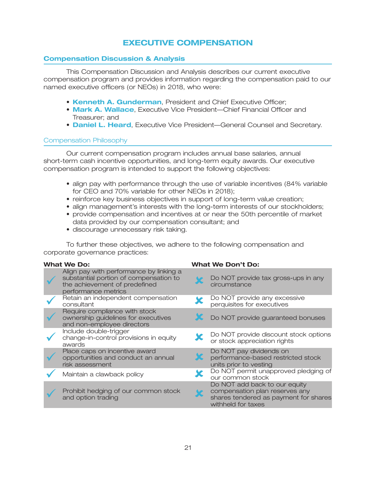## **EXECUTIVE COMPENSATION**

## **Compensation Discussion & Analysis**

This Compensation Discussion and Analysis describes our current executive compensation program and provides information regarding the compensation paid to our named executive officers (or NEOs) in 2018, who were:

- **Kenneth A. Gunderman**, President and Chief Executive Officer;
- **Mark A. Wallace**, Executive Vice President—Chief Financial Officer and Treasurer; and
- **Daniel L. Heard**, Executive Vice President—General Counsel and Secretary.

## Compensation Philosophy

Our current compensation program includes annual base salaries, annual short-term cash incentive opportunities, and long-term equity awards. Our executive compensation program is intended to support the following objectives:

- align pay with performance through the use of variable incentives (84% variable for CEO and 70% variable for other NEOs in 2018);
- reinforce key business objectives in support of long-term value creation;
- align management's interests with the long-term interests of our stockholders;
- provide compensation and incentives at or near the 50th percentile of market data provided by our compensation consultant; and
- discourage unnecessary risk taking.

To further these objectives, we adhere to the following compensation and corporate governance practices:

#### **What We Do: What We Don't Do:**

| Align pay with performance by linking a<br>substantial portion of compensation to<br>the achievement of predefined<br>performance metrics | Do NOT provide tax gross-ups in any<br>circumstance                                                                            |
|-------------------------------------------------------------------------------------------------------------------------------------------|--------------------------------------------------------------------------------------------------------------------------------|
| Retain an independent compensation<br>consultant                                                                                          | Do NOT provide any excessive<br>perquisites for executives                                                                     |
| Require compliance with stock<br>ownership guidelines for executives<br>and non-employee directors                                        | Do NOT provide guaranteed bonuses                                                                                              |
| Include double-trigger<br>change-in-control provisions in equity<br>awards                                                                | Do NOT provide discount stock options<br>or stock appreciation rights                                                          |
| Place caps on incentive award<br>opportunities and conduct an annual<br>risk assessment                                                   | Do NOT pay dividends on<br>performance-based restricted stock<br>units prior to vesting                                        |
| Maintain a clawback policy                                                                                                                | Do NOT permit unapproved pledging of<br>our common stock                                                                       |
| Prohibit hedging of our common stock<br>and option trading                                                                                | Do NOT add back to our equity<br>compensation plan reserves any<br>shares tendered as payment for shares<br>withheld for taxes |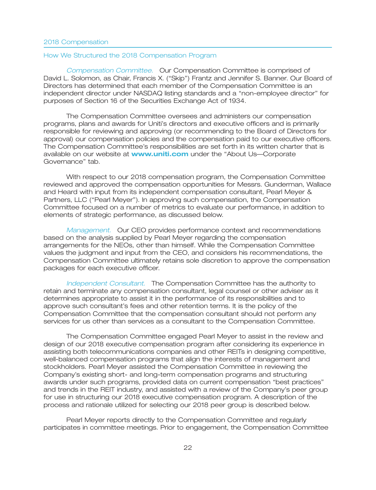#### How We Structured the 2018 Compensation Program

**Compensation Committee. Our Compensation Committee is comprised of** David L. Solomon, as Chair, Francis X. (''Skip'') Frantz and Jennifer S. Banner. Our Board of Directors has determined that each member of the Compensation Committee is an independent director under NASDAQ listing standards and a ''non-employee director'' for purposes of Section 16 of the Securities Exchange Act of 1934.

The Compensation Committee oversees and administers our compensation programs, plans and awards for Uniti's directors and executive officers and is primarily responsible for reviewing and approving (or recommending to the Board of Directors for approval) our compensation policies and the compensation paid to our executive officers. The Compensation Committee's responsibilities are set forth in its written charter that is available on our website at **www.uniti.com** under the "About Us—Corporate Governance'' tab.

With respect to our 2018 compensation program, the Compensation Committee reviewed and approved the compensation opportunities for Messrs. Gunderman, Wallace and Heard with input from its independent compensation consultant, Pearl Meyer & Partners, LLC (''Pearl Meyer''). In approving such compensation, the Compensation Committee focused on a number of metrics to evaluate our performance, in addition to elements of strategic performance, as discussed below.

Management. Our CEO provides performance context and recommendations based on the analysis supplied by Pearl Meyer regarding the compensation arrangements for the NEOs, other than himself. While the Compensation Committee values the judgment and input from the CEO, and considers his recommendations, the Compensation Committee ultimately retains sole discretion to approve the compensation packages for each executive officer.

Independent Consultant. The Compensation Committee has the authority to retain and terminate any compensation consultant, legal counsel or other adviser as it determines appropriate to assist it in the performance of its responsibilities and to approve such consultant's fees and other retention terms. It is the policy of the Compensation Committee that the compensation consultant should not perform any services for us other than services as a consultant to the Compensation Committee.

The Compensation Committee engaged Pearl Meyer to assist in the review and design of our 2018 executive compensation program after considering its experience in assisting both telecommunications companies and other REITs in designing competitive, well-balanced compensation programs that align the interests of management and stockholders. Pearl Meyer assisted the Compensation Committee in reviewing the Company's existing short- and long-term compensation programs and structuring awards under such programs, provided data on current compensation ''best practices'' and trends in the REIT industry, and assisted with a review of the Company's peer group for use in structuring our 2018 executive compensation program. A description of the process and rationale utilized for selecting our 2018 peer group is described below.

Pearl Meyer reports directly to the Compensation Committee and regularly participates in committee meetings. Prior to engagement, the Compensation Committee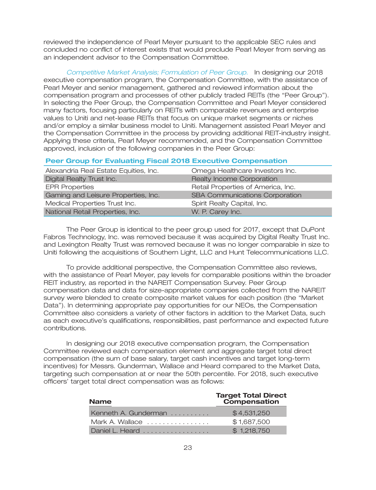reviewed the independence of Pearl Meyer pursuant to the applicable SEC rules and concluded no conflict of interest exists that would preclude Pearl Meyer from serving as an independent advisor to the Compensation Committee.

Competitive Market Analysis; Formulation of Peer Group. In designing our 2018 executive compensation program, the Compensation Committee, with the assistance of Pearl Meyer and senior management, gathered and reviewed information about the compensation program and processes of other publicly traded REITs (the ''Peer Group''). In selecting the Peer Group, the Compensation Committee and Pearl Meyer considered many factors, focusing particularly on REITs with comparable revenues and enterprise values to Uniti and net-lease REITs that focus on unique market segments or niches and/or employ a similar business model to Uniti. Management assisted Pearl Meyer and the Compensation Committee in the process by providing additional REIT-industry insight. Applying these criteria, Pearl Meyer recommended, and the Compensation Committee approved, inclusion of the following companies in the Peer Group:

### **Peer Group for Evaluating Fiscal 2018 Executive Compensation**

| Alexandria Real Estate Equities, Inc. | Omega Healthcare Investors Inc.       |
|---------------------------------------|---------------------------------------|
| Digital Realty Trust Inc.             | Realty Income Corporation             |
| <b>EPR Properties</b>                 | Retail Properties of America, Inc.    |
| Gaming and Leisure Properties, Inc.   | <b>SBA Communications Corporation</b> |
| Medical Properties Trust Inc.         | Spirit Realty Capital, Inc.           |
| National Retail Properties, Inc.      | W. P. Carey Inc.                      |

The Peer Group is identical to the peer group used for 2017, except that DuPont Fabros Technology, Inc. was removed because it was acquired by Digital Realty Trust Inc. and Lexington Realty Trust was removed because it was no longer comparable in size to Uniti following the acquisitions of Southern Light, LLC and Hunt Telecommunications LLC.

To provide additional perspective, the Compensation Committee also reviews, with the assistance of Pearl Meyer, pay levels for comparable positions within the broader REIT industry, as reported in the NAREIT Compensation Survey. Peer Group compensation data and data for size-appropriate companies collected from the NAREIT survey were blended to create composite market values for each position (the ''Market Data''). In determining appropriate pay opportunities for our NEOs, the Compensation Committee also considers a variety of other factors in addition to the Market Data, such as each executive's qualifications, responsibilities, past performance and expected future contributions.

In designing our 2018 executive compensation program, the Compensation Committee reviewed each compensation element and aggregate target total direct compensation (the sum of base salary, target cash incentives and target long-term incentives) for Messrs. Gunderman, Wallace and Heard compared to the Market Data, targeting such compensation at or near the 50th percentile. For 2018, such executive officers' target total direct compensation was as follows:

| <b>Name</b>          | <b>Target Total Direct</b><br>Compensation |
|----------------------|--------------------------------------------|
| Kenneth A. Gunderman | \$4,531,250                                |
| Mark A. Wallace      | \$1,687,500                                |
| Daniel L. Heard      | \$1,218,750                                |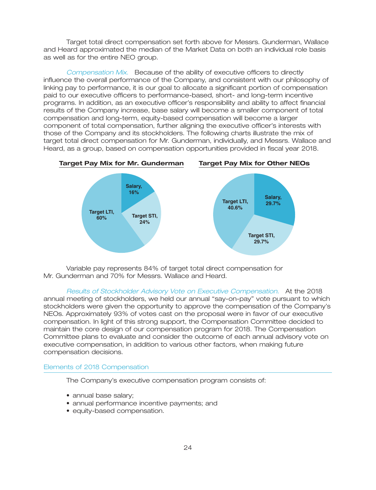Target total direct compensation set forth above for Messrs. Gunderman, Wallace and Heard approximated the median of the Market Data on both an individual role basis as well as for the entire NEO group.

Compensation Mix. Because of the ability of executive officers to directly influence the overall performance of the Company, and consistent with our philosophy of linking pay to performance, it is our goal to allocate a significant portion of compensation paid to our executive officers to performance-based, short- and long-term incentive programs. In addition, as an executive officer's responsibility and ability to affect financial results of the Company increase, base salary will become a smaller component of total compensation and long-term, equity-based compensation will become a larger component of total compensation, further aligning the executive officer's interests with those of the Company and its stockholders. The following charts illustrate the mix of target total direct compensation for Mr. Gunderman, individually, and Messrs. Wallace and Heard, as a group, based on compensation opportunities provided in fiscal year 2018.



Variable pay represents 84% of target total direct compensation for Mr. Gunderman and 70% for Messrs. Wallace and Heard.

Results of Stockholder Advisory Vote on Executive Compensation. At the 2018 annual meeting of stockholders, we held our annual ''say-on-pay'' vote pursuant to which stockholders were given the opportunity to approve the compensation of the Company's NEOs. Approximately 93% of votes cast on the proposal were in favor of our executive compensation. In light of this strong support, the Compensation Committee decided to maintain the core design of our compensation program for 2018. The Compensation Committee plans to evaluate and consider the outcome of each annual advisory vote on executive compensation, in addition to various other factors, when making future compensation decisions.

#### Elements of 2018 Compensation

The Company's executive compensation program consists of:

- annual base salary;
- annual performance incentive payments; and
- equity-based compensation.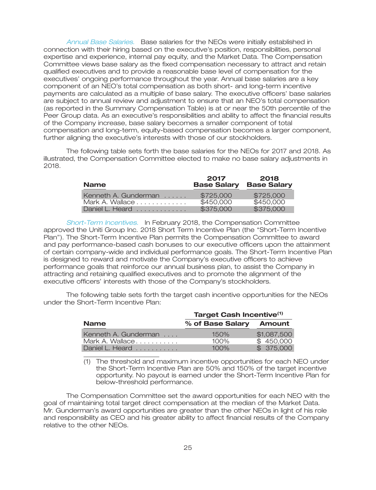Annual Base Salaries. Base salaries for the NEOs were initially established in connection with their hiring based on the executive's position, responsibilities, personal expertise and experience, internal pay equity, and the Market Data. The Compensation Committee views base salary as the fixed compensation necessary to attract and retain qualified executives and to provide a reasonable base level of compensation for the executives' ongoing performance throughout the year. Annual base salaries are a key component of an NEO's total compensation as both short- and long-term incentive payments are calculated as a multiple of base salary. The executive officers' base salaries are subject to annual review and adjustment to ensure that an NEO's total compensation (as reported in the Summary Compensation Table) is at or near the 50th percentile of the Peer Group data. As an executive's responsibilities and ability to affect the financial results of the Company increase, base salary becomes a smaller component of total compensation and long-term, equity-based compensation becomes a larger component, further aligning the executive's interests with those of our stockholders.

The following table sets forth the base salaries for the NEOs for 2017 and 2018. As illustrated, the Compensation Committee elected to make no base salary adjustments in 2018.

| <b>Name</b>          | 2017<br><b>Base Salary</b> | 2018<br><b>Base Salary</b> |
|----------------------|----------------------------|----------------------------|
| Kenneth A. Gunderman | \$725,000                  | \$725,000                  |
| Mark A. Wallace      | \$450,000                  | \$450,000                  |
| Daniel L. Heard      | \$375,000                  | \$375,000                  |

Short-Term Incentives. In February 2018, the Compensation Committee approved the Uniti Group Inc. 2018 Short Term Incentive Plan (the ''Short-Term Incentive Plan''). The Short-Term Incentive Plan permits the Compensation Committee to award and pay performance-based cash bonuses to our executive officers upon the attainment of certain company-wide and individual performance goals. The Short-Term Incentive Plan is designed to reward and motivate the Company's executive officers to achieve performance goals that reinforce our annual business plan, to assist the Company in attracting and retaining qualified executives and to promote the alignment of the executive officers' interests with those of the Company's stockholders.

The following table sets forth the target cash incentive opportunities for the NEOs under the Short-Term Incentive Plan:

|                                     | Target Cash Incentive <sup>(1)</sup> |             |  |  |
|-------------------------------------|--------------------------------------|-------------|--|--|
| <b>Name</b>                         | % of Base Salary Amount              |             |  |  |
| Kenneth A. Gunderman                | 150%                                 | \$1,087,500 |  |  |
| Mark A. Wallace                     | 100%                                 | \$450,000   |  |  |
| Daniel L. Heard $\ldots$ , $\ldots$ | $100\%$                              | \$375.000   |  |  |

(1) The threshold and maximum incentive opportunities for each NEO under the Short-Term Incentive Plan are 50% and 150% of the target incentive opportunity. No payout is earned under the Short-Term Incentive Plan for below-threshold performance.

The Compensation Committee set the award opportunities for each NEO with the goal of maintaining total target direct compensation at the median of the Market Data. Mr. Gunderman's award opportunities are greater than the other NEOs in light of his role and responsibility as CEO and his greater ability to affect financial results of the Company relative to the other NEOs.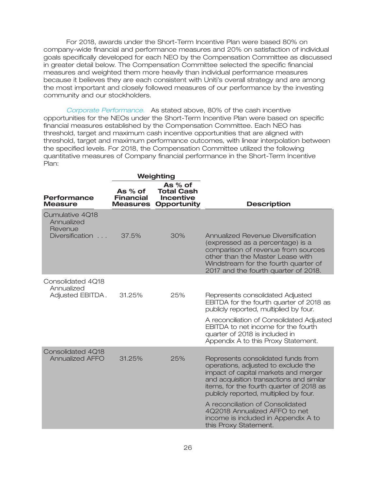For 2018, awards under the Short-Term Incentive Plan were based 80% on company-wide financial and performance measures and 20% on satisfaction of individual goals specifically developed for each NEO by the Compensation Committee as discussed in greater detail below. The Compensation Committee selected the specific financial measures and weighted them more heavily than individual performance measures because it believes they are each consistent with Uniti's overall strategy and are among the most important and closely followed measures of our performance by the investing community and our stockholders.

Corporate Performance. As stated above, 80% of the cash incentive opportunities for the NEOs under the Short-Term Incentive Plan were based on specific financial measures established by the Compensation Committee. Each NEO has threshold, target and maximum cash incentive opportunities that are aligned with threshold, target and maximum performance outcomes, with linear interpolation between the specified levels. For 2018, the Compensation Committee utilized the following quantitative measures of Company financial performance in the Short-Term Incentive Plan:

|                                             | Weighting                                        |                                                                          |                                                                                                                                                                                                                                                     |
|---------------------------------------------|--------------------------------------------------|--------------------------------------------------------------------------|-----------------------------------------------------------------------------------------------------------------------------------------------------------------------------------------------------------------------------------------------------|
| <b>Performance</b><br><b>Measure</b>        | As $%$ of<br><b>Financial</b><br><b>Measures</b> | As $%$ of<br><b>Total Cash</b><br><b>Incentive</b><br><b>Opportunity</b> | <b>Description</b>                                                                                                                                                                                                                                  |
| Cumulative 4Q18<br>Annualized<br>Revenue    |                                                  |                                                                          |                                                                                                                                                                                                                                                     |
| Diversification                             | 37.5%                                            | 30%                                                                      | Annualized Revenue Diversification<br>(expressed as a percentage) is a<br>comparison of revenue from sources<br>other than the Master Lease with<br>Windstream for the fourth quarter of<br>2017 and the fourth quarter of 2018.                    |
| Consolidated 4018<br>Annualized             |                                                  |                                                                          |                                                                                                                                                                                                                                                     |
| Adjusted EBITDA.                            | 31.25%                                           | 25%                                                                      | Represents consolidated Adjusted<br>EBITDA for the fourth quarter of 2018 as<br>publicly reported, multiplied by four.                                                                                                                              |
|                                             |                                                  |                                                                          | A reconciliation of Consolidated Adjusted<br>EBITDA to net income for the fourth<br>quarter of 2018 is included in<br>Appendix A to this Proxy Statement.                                                                                           |
| Consolidated 4Q18<br><b>Annualized AFFO</b> | 31.25%                                           | 25%                                                                      | Represents consolidated funds from<br>operations, adjusted to exclude the<br>impact of capital markets and merger<br>and acquisition transactions and similar<br>items, for the fourth quarter of 2018 as<br>publicly reported, multiplied by four. |
|                                             |                                                  |                                                                          | A reconciliation of Consolidated<br>4Q2018 Annualized AFFO to net<br>income is included in Appendix A to<br>this Proxy Statement.                                                                                                                   |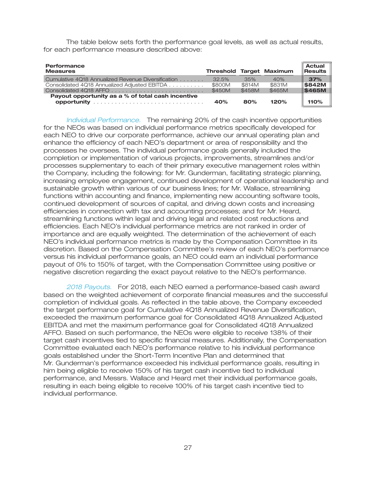The table below sets forth the performance goal levels, as well as actual results, for each performance measure described above:

| Performance<br><b>Measures</b>                     | <b>Threshold Target Maximum</b> |        |        | <b>Actual</b><br>Results |
|----------------------------------------------------|---------------------------------|--------|--------|--------------------------|
| Cumulative 4Q18 Annualized Revenue Diversification | $32.5\%$                        | 35%    | 40%    | 37%                      |
| Consolidated 4Q18 Annualized Adjusted EBITDA       | \$800M                          | \$814M | \$831M | \$842M                   |
|                                                    | \$450M                          | \$458M | \$465M | $\parallel$ \$465M       |
| Payout opportunity as a % of total cash incentive  | 40%                             | 80%    | 120%   | 110%                     |

*Individual Performance.* The remaining 20% of the cash incentive opportunities for the NEOs was based on individual performance metrics specifically developed for each NEO to drive our corporate performance, achieve our annual operating plan and enhance the efficiency of each NEO's department or area of responsibility and the processes he oversees. The individual performance goals generally included the completion or implementation of various projects, improvements, streamlines and/or processes supplementary to each of their primary executive management roles within the Company, including the following: for Mr. Gunderman, facilitating strategic planning, increasing employee engagement, continued development of operational leadership and sustainable growth within various of our business lines; for Mr. Wallace, streamlining functions within accounting and finance, implementing new accounting software tools, continued development of sources of capital, and driving down costs and increasing efficiencies in connection with tax and accounting processes; and for Mr. Heard, streamlining functions within legal and driving legal and related cost reductions and efficiencies. Each NEO's individual performance metrics are not ranked in order of importance and are equally weighted. The determination of the achievement of each NEO's individual performance metrics is made by the Compensation Committee in its discretion. Based on the Compensation Committee's review of each NEO's performance versus his individual performance goals, an NEO could earn an individual performance payout of 0% to 150% of target, with the Compensation Committee using positive or negative discretion regarding the exact payout relative to the NEO's performance.

2018 Payouts. For 2018, each NEO earned a performance-based cash award based on the weighted achievement of corporate financial measures and the successful completion of individual goals. As reflected in the table above, the Company exceeded the target performance goal for Cumulative 4Q18 Annualized Revenue Diversification, exceeded the maximum performance goal for Consolidated 4Q18 Annualized Adjusted EBITDA and met the maximum performance goal for Consolidated 4Q18 Annualized AFFO. Based on such performance, the NEOs were eligible to receive 138% of their target cash incentives tied to specific financial measures. Additionally, the Compensation Committee evaluated each NEO's performance relative to his individual performance goals established under the Short-Term Incentive Plan and determined that Mr. Gunderman's performance exceeded his individual performance goals, resulting in him being eligible to receive 150% of his target cash incentive tied to individual performance, and Messrs. Wallace and Heard met their individual performance goals, resulting in each being eligible to receive 100% of his target cash incentive tied to individual performance.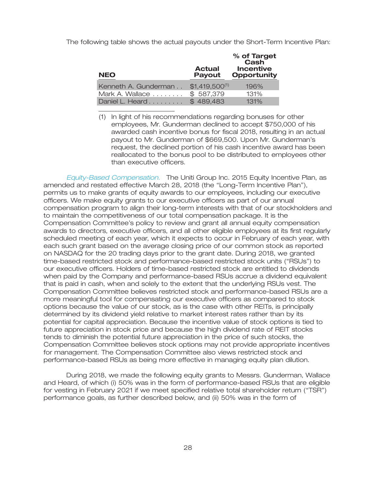The following table shows the actual payouts under the Short-Term Incentive Plan:

| <b>NEO</b>           | <b>Actual</b><br><b>Payout</b> | % of Target<br>Cash<br><b>Incentive</b><br><b>Opportunity</b> |
|----------------------|--------------------------------|---------------------------------------------------------------|
| Kenneth A. Gunderman | $$1,419,500^{(1)}$             | 196%                                                          |
| Mark A. Wallace      | \$587,379                      | 131%                                                          |
| Daniel L. Heard      | \$489,483                      | 131%                                                          |

(1) In light of his recommendations regarding bonuses for other employees, Mr. Gunderman declined to accept \$750,000 of his awarded cash incentive bonus for fiscal 2018, resulting in an actual payout to Mr. Gunderman of \$669,500. Upon Mr. Gunderman's request, the declined portion of his cash incentive award has been reallocated to the bonus pool to be distributed to employees other than executive officers.

*Equity-Based Compensation.* The Uniti Group Inc. 2015 Equity Incentive Plan, as amended and restated effective March 28, 2018 (the ''Long-Term Incentive Plan''), permits us to make grants of equity awards to our employees, including our executive officers. We make equity grants to our executive officers as part of our annual compensation program to align their long-term interests with that of our stockholders and to maintain the competitiveness of our total compensation package. It is the Compensation Committee's policy to review and grant all annual equity compensation awards to directors, executive officers, and all other eligible employees at its first regularly scheduled meeting of each year, which it expects to occur in February of each year, with each such grant based on the average closing price of our common stock as reported on NASDAQ for the 20 trading days prior to the grant date. During 2018, we granted time-based restricted stock and performance-based restricted stock units (''RSUs'') to our executive officers. Holders of time-based restricted stock are entitled to dividends when paid by the Company and performance-based RSUs accrue a dividend equivalent that is paid in cash, when and solely to the extent that the underlying RSUs vest. The Compensation Committee believes restricted stock and performance-based RSUs are a more meaningful tool for compensating our executive officers as compared to stock options because the value of our stock, as is the case with other REITs, is principally determined by its dividend yield relative to market interest rates rather than by its potential for capital appreciation. Because the incentive value of stock options is tied to future appreciation in stock price and because the high dividend rate of REIT stocks tends to diminish the potential future appreciation in the price of such stocks, the Compensation Committee believes stock options may not provide appropriate incentives for management. The Compensation Committee also views restricted stock and performance-based RSUs as being more effective in managing equity plan dilution.

During 2018, we made the following equity grants to Messrs. Gunderman, Wallace and Heard, of which (i) 50% was in the form of performance-based RSUs that are eligible for vesting in February 2021 if we meet specified relative total shareholder return (''TSR'') performance goals, as further described below, and (ii) 50% was in the form of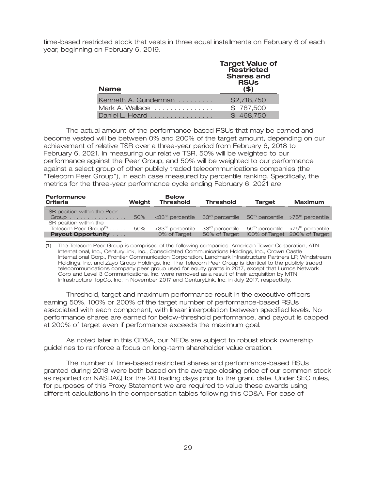time-based restricted stock that vests in three equal installments on February 6 of each year, beginning on February 6, 2019.

| <b>Name</b>          | <b>Target Value of</b><br>Restricted<br><b>Shares and</b><br><b>RSUs</b><br>(S) |
|----------------------|---------------------------------------------------------------------------------|
| Kenneth A. Gunderman | \$2,718,750                                                                     |
| Mark A. Wallace      | \$787,500                                                                       |
| Daniel L. Heard      | \$468,750                                                                       |

The actual amount of the performance-based RSUs that may be earned and become vested will be between 0% and 200% of the target amount, depending on our achievement of relative TSR over a three-year period from February 6, 2018 to February 6, 2021. In measuring our relative TSR, 50% will be weighted to our performance against the Peer Group, and 50% will be weighted to our performance against a select group of other publicly traded telecommunications companies (the ''Telecom Peer Group''), in each case measured by percentile ranking. Specifically, the metrics for the three-year performance cycle ending February 6, 2021 are:

| Performance<br>Criteria                      | Weight | <b>Below</b><br><b>Threshold</b>                         | <b>Threshold</b> | <b>Target</b> | <b>Maximum</b>                       |
|----------------------------------------------|--------|----------------------------------------------------------|------------------|---------------|--------------------------------------|
| TSR position within the Peer                 |        |                                                          |                  |               |                                      |
| Group                                        | 50%    | <33 <sup>rd</sup> percentile 33 <sup>rd</sup> percentile |                  |               | $50th$ percentile $>75th$ percentile |
| TSR position within the                      |        |                                                          |                  |               |                                      |
| Telecom Peer Group <sup>(1)</sup> $\ldots$ . | 50%    | <33 <sup>rd</sup> percentile                             | 33rd percentile  |               | $50th$ percentile $>75th$ percentile |
| <b>Payout Opportunity Albemu</b>             |        | 0% of Target                                             | 50% of Target    |               | 100% of Target 200% of Target        |
|                                              |        |                                                          |                  |               |                                      |

(1) The Telecom Peer Group is comprised of the following companies: American Tower Corporation, ATN International, Inc., CenturyLink, Inc., Consolidated Communications Holdings, Inc., Crown Castle International Corp., Frontier Communication Corporation, Landmark Infrastructure Partners LP, Windstream Holdings, Inc. and Zayo Group Holdings, Inc. The Telecom Peer Group is identical to the publicly traded telecommunications company peer group used for equity grants in 2017, except that Lumos Network Corp and Level 3 Communications, Inc. were removed as a result of their acquisition by MTN Infrastructure TopCo, Inc. in November 2017 and CenturyLink, Inc. in July 2017, respectfully.

Threshold, target and maximum performance result in the executive officers earning 50%, 100% or 200% of the target number of performance-based RSUs associated with each component, with linear interpolation between specified levels. No performance shares are earned for below-threshold performance, and payout is capped at 200% of target even if performance exceeds the maximum goal.

As noted later in this CD&A, our NEOs are subject to robust stock ownership guidelines to reinforce a focus on long-term shareholder value creation.

The number of time-based restricted shares and performance-based RSUs granted during 2018 were both based on the average closing price of our common stock as reported on NASDAQ for the 20 trading days prior to the grant date. Under SEC rules, for purposes of this Proxy Statement we are required to value these awards using different calculations in the compensation tables following this CD&A. For ease of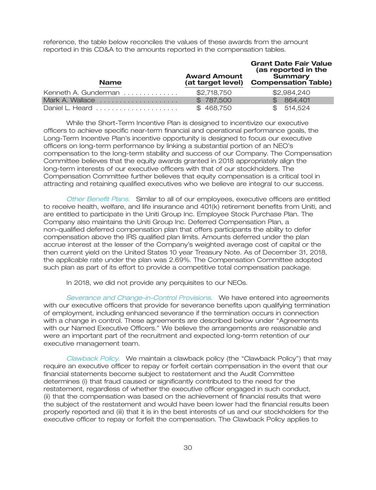reference, the table below reconciles the values of these awards from the amount reported in this CD&A to the amounts reported in the compensation tables.

| <b>Name</b>          | <b>Award Amount</b><br>(at target level) | <b>Grant Date Fair Value</b><br>(as reported in the<br><b>Summary</b><br><b>Compensation Table)</b> |
|----------------------|------------------------------------------|-----------------------------------------------------------------------------------------------------|
| Kenneth A. Gunderman | \$2,718,750                              | \$2,984,240                                                                                         |
| Mark A. Wallace      | \$787,500                                | \$864,401                                                                                           |
| Daniel L. Heard      | \$468,750                                | \$514,524                                                                                           |

While the Short-Term Incentive Plan is designed to incentivize our executive officers to achieve specific near-term financial and operational performance goals, the Long-Term Incentive Plan's incentive opportunity is designed to focus our executive officers on long-term performance by linking a substantial portion of an NEO's compensation to the long-term stability and success of our Company. The Compensation Committee believes that the equity awards granted in 2018 appropriately align the long-term interests of our executive officers with that of our stockholders. The Compensation Committee further believes that equity compensation is a critical tool in attracting and retaining qualified executives who we believe are integral to our success.

Other Benefit Plans. Similar to all of our employees, executive officers are entitled to receive health, welfare, and life insurance and 401(k) retirement benefits from Uniti, and are entitled to participate in the Uniti Group Inc. Employee Stock Purchase Plan. The Company also maintains the Uniti Group Inc. Deferred Compensation Plan, a non-qualified deferred compensation plan that offers participants the ability to defer compensation above the IRS qualified plan limits. Amounts deferred under the plan accrue interest at the lesser of the Company's weighted average cost of capital or the then current yield on the United States 10 year Treasury Note. As of December 31, 2018, the applicable rate under the plan was 2.69%. The Compensation Committee adopted such plan as part of its effort to provide a competitive total compensation package.

In 2018, we did not provide any perquisites to our NEOs.

Severance and Change-in-Control Provisions. We have entered into agreements with our executive officers that provide for severance benefits upon qualifying termination of employment, including enhanced severance if the termination occurs in connection with a change in control. These agreements are described below under ''Agreements with our Named Executive Officers.'' We believe the arrangements are reasonable and were an important part of the recruitment and expected long-term retention of our executive management team.

*Clawback Policy.* We maintain a clawback policy (the "Clawback Policy") that may require an executive officer to repay or forfeit certain compensation in the event that our financial statements become subject to restatement and the Audit Committee determines (i) that fraud caused or significantly contributed to the need for the restatement, regardless of whether the executive officer engaged in such conduct, (ii) that the compensation was based on the achievement of financial results that were the subject of the restatement and would have been lower had the financial results been properly reported and (iii) that it is in the best interests of us and our stockholders for the executive officer to repay or forfeit the compensation. The Clawback Policy applies to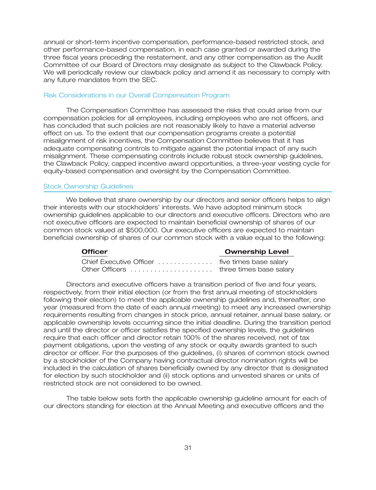annual or short-term incentive compensation, performance-based restricted stock, and other performance-based compensation, in each case granted or awarded during the three fiscal years preceding the restatement, and any other compensation as the Audit Committee of our Board of Directors may designate as subject to the Clawback Policy. We will periodically review our clawback policy and amend it as necessary to comply with any future mandates from the SEC.

#### Risk Considerations in our Overall Compensation Program

The Compensation Committee has assessed the risks that could arise from our compensation policies for all employees, including employees who are not officers, and has concluded that such policies are not reasonably likely to have a material adverse effect on us. To the extent that our compensation programs create a potential misalignment of risk incentives, the Compensation Committee believes that it has adequate compensating controls to mitigate against the potential impact of any such misalignment. These compensating controls include robust stock ownership guidelines, the Clawback Policy, capped incentive award opportunities, a three-year vesting cycle for equity-based compensation and oversight by the Compensation Committee.

#### Stock Ownership Guidelines

We believe that share ownership by our directors and senior officers helps to align their interests with our stockholders' interests. We have adopted minimum stock ownership guidelines applicable to our directors and executive officers. Directors who are not executive officers are expected to maintain beneficial ownership of shares of our common stock valued at \$500,000. Our executive officers are expected to maintain beneficial ownership of shares of our common stock with a value equal to the following:

| IС<br>тті |
|-----------|
|-----------|

#### **Ownership Level**

| Chief Executive Officer  five times base salary |  |
|-------------------------------------------------|--|
|                                                 |  |

Directors and executive officers have a transition period of five and four years, respectively, from their initial election (or from the first annual meeting of stockholders following their election) to meet the applicable ownership guidelines and, thereafter, one year (measured from the date of each annual meeting) to meet any increased ownership requirements resulting from changes in stock price, annual retainer, annual base salary, or applicable ownership levels occurring since the initial deadline. During the transition period and until the director or officer satisfies the specified ownership levels, the guidelines require that each officer and director retain 100% of the shares received, net of tax payment obligations, upon the vesting of any stock or equity awards granted to such director or officer. For the purposes of the guidelines, (i) shares of common stock owned by a stockholder of the Company having contractual director nomination rights will be included in the calculation of shares beneficially owned by any director that is designated for election by such stockholder and (ii) stock options and unvested shares or units of restricted stock are not considered to be owned.

The table below sets forth the applicable ownership guideline amount for each of our directors standing for election at the Annual Meeting and executive officers and the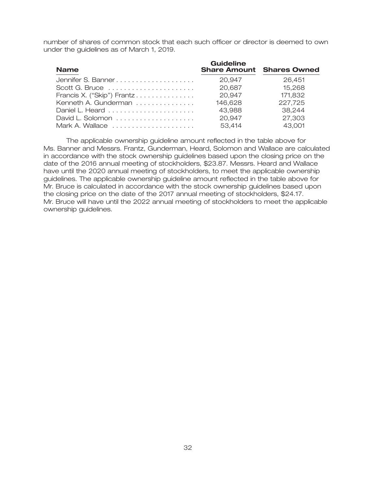number of shares of common stock that each such officer or director is deemed to own under the guidelines as of March 1, 2019.

| <b>Name</b>                | <b>Guideline</b> | <b>Share Amount Shares Owned</b> |
|----------------------------|------------------|----------------------------------|
| Jennifer S. Banner         | 20,947           | 26.451                           |
|                            | 20,687           | 15,268                           |
| Francis X. ("Skip") Frantz | 20,947           | 171,832                          |
| Kenneth A. Gunderman       | 146,628          | 227,725                          |
|                            | 43,988           | 38.244                           |
| David L. Solomon           | 20,947           | 27,303                           |
| Mark A. Wallace            | 53,414           | 43,001                           |

The applicable ownership guideline amount reflected in the table above for Ms. Banner and Messrs. Frantz, Gunderman, Heard, Solomon and Wallace are calculated in accordance with the stock ownership guidelines based upon the closing price on the date of the 2016 annual meeting of stockholders, \$23.87. Messrs. Heard and Wallace have until the 2020 annual meeting of stockholders, to meet the applicable ownership guidelines. The applicable ownership guideline amount reflected in the table above for Mr. Bruce is calculated in accordance with the stock ownership guidelines based upon the closing price on the date of the 2017 annual meeting of stockholders, \$24.17. Mr. Bruce will have until the 2022 annual meeting of stockholders to meet the applicable ownership guidelines.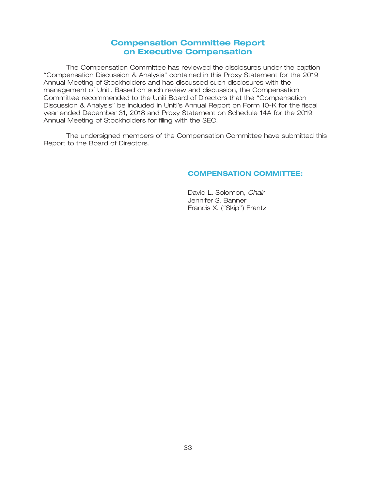## **Compensation Committee Report on Executive Compensation**

The Compensation Committee has reviewed the disclosures under the caption ''Compensation Discussion & Analysis'' contained in this Proxy Statement for the 2019 Annual Meeting of Stockholders and has discussed such disclosures with the management of Uniti. Based on such review and discussion, the Compensation Committee recommended to the Uniti Board of Directors that the ''Compensation Discussion & Analysis'' be included in Uniti's Annual Report on Form 10-K for the fiscal year ended December 31, 2018 and Proxy Statement on Schedule 14A for the 2019 Annual Meeting of Stockholders for filing with the SEC.

The undersigned members of the Compensation Committee have submitted this Report to the Board of Directors.

## **COMPENSATION COMMITTEE:**

David L. Solomon, *Chair* Jennifer S. Banner Francis X. ("Skip") Frantz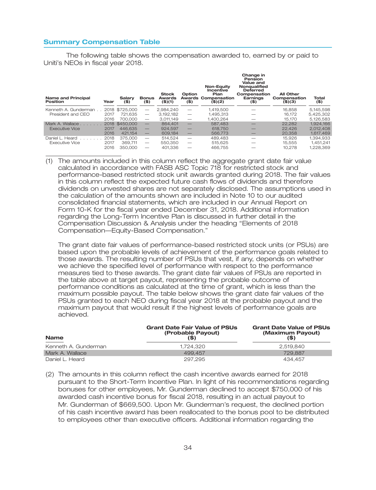#### **Summary Compensation Table**

The following table shows the compensation awarded to, earned by or paid to Uniti's NEOs in fiscal year 2018.

| <b>Name and Principal</b><br>Position | Year | Salary<br>$($ \$) | <b>Bonus</b><br>$($ \$)  | <b>Stock</b><br>Awards<br>$($ \$)(1) | Option<br>$($ \$)               | Non-Eauity<br><b>Incentive</b><br>Plan<br><b>Awards Compensation</b><br>$($ \$)(2) | Change in<br>Pension<br>Value and<br><b>Nongualified</b><br><b>Deferred</b><br>Compensation<br>Earnings<br>(\$) | All Other<br>Compensation<br>$($ \$) $($ 3) | Total<br>$($ \$) |
|---------------------------------------|------|-------------------|--------------------------|--------------------------------------|---------------------------------|------------------------------------------------------------------------------------|-----------------------------------------------------------------------------------------------------------------|---------------------------------------------|------------------|
| Kenneth A. Gunderman                  |      | 2018 \$725,000    | $\overline{\phantom{m}}$ | 2.984.240                            |                                 | 1,419,500                                                                          |                                                                                                                 | 16,858                                      | 5,145,598        |
| President and CEO                     | 2017 | 721.635           | $\overline{\phantom{m}}$ | 3.192.182                            | $\hspace{0.1mm}-\hspace{0.1mm}$ | 1.495.313                                                                          |                                                                                                                 | 16.172                                      | 5.425.302        |
|                                       | 2016 | 700,000           | $\overline{\phantom{m}}$ | 3.011.149                            | $\overbrace{\phantom{12333}}$   | 1.400.264                                                                          |                                                                                                                 | 15.170                                      | 5.126.583        |
| Mark A. Wallace                       |      | 2018 \$450,000    |                          | 864,401                              |                                 | 587.483                                                                            |                                                                                                                 | 22.282                                      | 1.924.166        |
| <b>Executive Vice</b>                 | 2017 | 446.635           |                          | 924.597                              |                                 | 618,750                                                                            |                                                                                                                 | 22.426                                      | 2,012,408        |
|                                       | 2016 | 421.154           |                          | 609.184                              |                                 | 566,773                                                                            |                                                                                                                 | 20.358                                      | 1.617.469        |
| Daniel L. Heard                       | 2018 | 375,000           | $\overline{\phantom{m}}$ | 514.524                              |                                 | 489.483                                                                            |                                                                                                                 | 15.926                                      | 1.394.933        |
| <b>Executive Vice</b>                 | 2017 | 369.711           |                          | 550.350                              | $\hspace{0.05cm}$               | 515.625                                                                            |                                                                                                                 | 15.555                                      | 1.451.241        |
|                                       | 2016 | 350,000           |                          | 401.336                              |                                 | 466.755                                                                            |                                                                                                                 | 10.278                                      | 1.228.369        |

(1) The amounts included in this column reflect the aggregate grant date fair value calculated in accordance with FASB ASC Topic 718 for restricted stock and performance-based restricted stock unit awards granted during 2018. The fair values in this column reflect the expected future cash flows of dividends and therefore dividends on unvested shares are not separately disclosed. The assumptions used in the calculation of the amounts shown are included in Note 10 to our audited consolidated financial statements, which are included in our Annual Report on Form 10-K for the fiscal year ended December 31, 2018. Additional information regarding the Long-Term Incentive Plan is discussed in further detail in the Compensation Discussion & Analysis under the heading ''Elements of 2018 Compensation—Equity-Based Compensation.''

The grant date fair values of performance-based restricted stock units (or PSUs) are based upon the probable levels of achievement of the performance goals related to those awards. The resulting number of PSUs that vest, if any, depends on whether we achieve the specified level of performance with respect to the performance measures tied to these awards. The grant date fair values of PSUs are reported in the table above at target payout, representing the probable outcome of performance conditions as calculated at the time of grant, which is less than the maximum possible payout. The table below shows the grant date fair values of the PSUs granted to each NEO during fiscal year 2018 at the probable payout and the maximum payout that would result if the highest levels of performance goals are achieved.

| <b>Name</b>          | <b>Grant Date Fair Value of PSUs</b><br>(Probable Payout)<br>(\$) | <b>Grant Date Value of PSUs</b><br>(Maximum Payout)<br>(\$) |  |  |
|----------------------|-------------------------------------------------------------------|-------------------------------------------------------------|--|--|
| Kenneth A. Gunderman | 1.724.320                                                         | 2.519.840                                                   |  |  |
| Mark A. Wallace      | 499.457                                                           | 729.887                                                     |  |  |
| Daniel L. Heard      | 297.295                                                           | 434.457                                                     |  |  |

(2) The amounts in this column reflect the cash incentive awards earned for 2018 pursuant to the Short-Term Incentive Plan. In light of his recommendations regarding bonuses for other employees, Mr. Gunderman declined to accept \$750,000 of his awarded cash incentive bonus for fiscal 2018, resulting in an actual payout to Mr. Gunderman of \$669,500. Upon Mr. Gunderman's request, the declined portion of his cash incentive award has been reallocated to the bonus pool to be distributed to employees other than executive officers. Additional information regarding the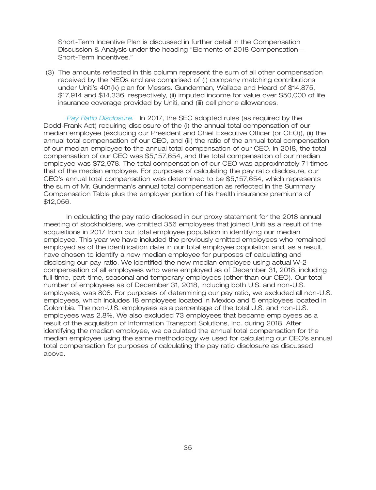Short-Term Incentive Plan is discussed in further detail in the Compensation Discussion & Analysis under the heading ''Elements of 2018 Compensation— Short-Term Incentives.''

(3) The amounts reflected in this column represent the sum of all other compensation received by the NEOs and are comprised of (i) company matching contributions under Uniti's 401(k) plan for Messrs. Gunderman, Wallace and Heard of \$14,875, \$17,914 and \$14,336, respectively, (ii) imputed income for value over \$50,000 of life insurance coverage provided by Uniti, and (iii) cell phone allowances.

Pay Ratio Disclosure. In 2017, the SEC adopted rules (as required by the Dodd-Frank Act) requiring disclosure of the (i) the annual total compensation of our median employee (excluding our President and Chief Executive Officer (or CEO)), (ii) the annual total compensation of our CEO, and (iii) the ratio of the annual total compensation of our median employee to the annual total compensation of our CEO. In 2018, the total compensation of our CEO was \$5,157,654, and the total compensation of our median employee was \$72,978. The total compensation of our CEO was approximately 71 times that of the median employee. For purposes of calculating the pay ratio disclosure, our CEO's annual total compensation was determined to be \$5,157,654, which represents the sum of Mr. Gunderman's annual total compensation as reflected in the Summary Compensation Table plus the employer portion of his health insurance premiums of \$12,056.

In calculating the pay ratio disclosed in our proxy statement for the 2018 annual meeting of stockholders, we omitted 356 employees that joined Uniti as a result of the acquisitions in 2017 from our total employee population in identifying our median employee. This year we have included the previously omitted employees who remained employed as of the identification date in our total employee population and, as a result, have chosen to identify a new median employee for purposes of calculating and disclosing our pay ratio. We identified the new median employee using actual W-2 compensation of all employees who were employed as of December 31, 2018, including full-time, part-time, seasonal and temporary employees (other than our CEO). Our total number of employees as of December 31, 2018, including both U.S. and non-U.S. employees, was 808. For purposes of determining our pay ratio, we excluded all non-U.S. employees, which includes 18 employees located in Mexico and 5 employees located in Colombia. The non-U.S. employees as a percentage of the total U.S. and non-U.S. employees was 2.8%. We also excluded 73 employees that became employees as a result of the acquisition of Information Transport Solutions, Inc. during 2018. After identifying the median employee, we calculated the annual total compensation for the median employee using the same methodology we used for calculating our CEO's annual total compensation for purposes of calculating the pay ratio disclosure as discussed above.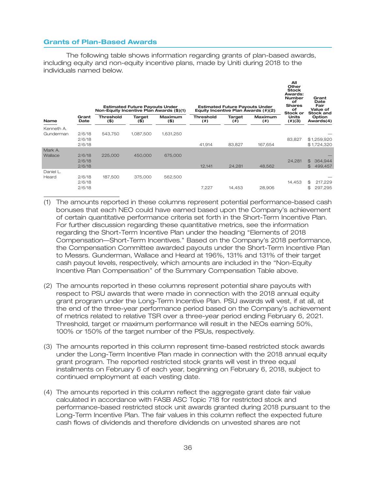## **Grants of Plan-Based Awards**

The following table shows information regarding grants of plan-based awards, including equity and non-equity incentive plans, made by Uniti during 2018 to the individuals named below.

|                    |                            | Non-Equity Incentive Plan Awards (\$)(1) | <b>Estimated Future Payouts Under</b> |                           |                            | <b>Estimated Future Payouts Under</b> | Equity Incentive Plan Awards (#)(2) | All<br>Other<br><b>Stock</b><br>Awards:<br><b>Number</b><br>of<br><b>Shares</b><br>оf<br>Stock or | Grant<br>Date<br>Fair<br>Value of<br><b>Stock and</b> |
|--------------------|----------------------------|------------------------------------------|---------------------------------------|---------------------------|----------------------------|---------------------------------------|-------------------------------------|---------------------------------------------------------------------------------------------------|-------------------------------------------------------|
| <b>Name</b>        | Grant<br>Date              | <b>Threshold</b><br>$($ \$)              | Target<br>$($ \$)                     | <b>Maximum</b><br>$($ \$) | <b>Threshold</b><br>$($ #) | Target<br>$($ # $)$                   | <b>Maximum</b><br>(  # )            | <b>Units</b><br>(4)(3)                                                                            | Option<br>Awards(4)                                   |
| Kenneth A.         |                            |                                          |                                       |                           |                            |                                       |                                     |                                                                                                   |                                                       |
| Gunderman          | 2/6/18<br>2/6/18<br>2/6/18 | 543,750                                  | 1,087,500                             | 1,631,250                 | 41,914                     | 83,827                                | 167,654                             | 83.827                                                                                            | \$1,259,920<br>\$1,724,320                            |
| Mark A.<br>Wallace | 2/6/18<br>2/6/18<br>2/6/18 | 225,000                                  | 450,000                               | 675,000                   | 12,141                     | 24,281                                | 48,562                              | 24.281                                                                                            | 364,944<br>$\mathfrak{L}$<br>499,457<br>$\mathcal{S}$ |
| Daniel L.<br>Heard | 2/6/18<br>2/6/18<br>2/6/18 | 187.500                                  | 375,000                               | 562,500                   | 7,227                      | 14.453                                | 28,906                              | 14,453                                                                                            | \$<br>217,229<br>297,295<br>\$                        |

- (1) The amounts reported in these columns represent potential performance-based cash bonuses that each NEO could have earned based upon the Company's achievement of certain quantitative performance criteria set forth in the Short-Term Incentive Plan. For further discussion regarding these quantitative metrics, see the information regarding the Short-Term Incentive Plan under the heading ''Elements of 2018 Compensation—Short-Term Incentives.'' Based on the Company's 2018 performance, the Compensation Committee awarded payouts under the Short-Term Incentive Plan to Messrs. Gunderman, Wallace and Heard at 196%, 131% and 131% of their target cash payout levels, respectively, which amounts are included in the ''Non-Equity Incentive Plan Compensation'' of the Summary Compensation Table above.
- (2) The amounts reported in these columns represent potential share payouts with respect to PSU awards that were made in connection with the 2018 annual equity grant program under the Long-Term Incentive Plan. PSU awards will vest, if at all, at the end of the three-year performance period based on the Company's achievement of metrics related to relative TSR over a three-year period ending February 6, 2021. Threshold, target or maximum performance will result in the NEOs earning 50%, 100% or 150% of the target number of the PSUs, respectively.
- (3) The amounts reported in this column represent time-based restricted stock awards under the Long-Term Incentive Plan made in connection with the 2018 annual equity grant program. The reported restricted stock grants will vest in three equal installments on February 6 of each year, beginning on February 6, 2018, subject to continued employment at each vesting date.
- (4) The amounts reported in this column reflect the aggregate grant date fair value calculated in accordance with FASB ASC Topic 718 for restricted stock and performance-based restricted stock unit awards granted during 2018 pursuant to the Long-Term Incentive Plan. The fair values in this column reflect the expected future cash flows of dividends and therefore dividends on unvested shares are not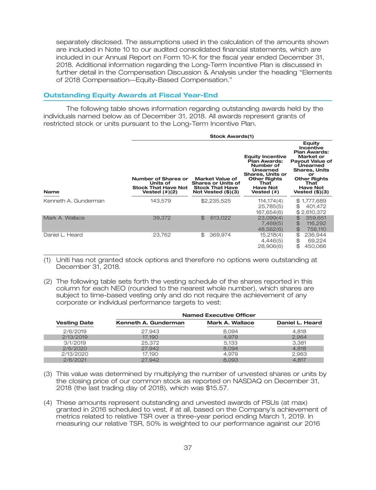separately disclosed. The assumptions used in the calculation of the amounts shown are included in Note 10 to our audited consolidated financial statements, which are included in our Annual Report on Form 10-K for the fiscal year ended December 31, 2018. Additional information regarding the Long-Term Incentive Plan is discussed in further detail in the Compensation Discussion & Analysis under the heading ''Elements of 2018 Compensation—Equity-Based Compensation.''

## **Outstanding Equity Awards at Fiscal Year-End**

The following table shows information regarding outstanding awards held by the individuals named below as of December 31, 2018. All awards represent grants of restricted stock or units pursuant to the Long-Term Incentive Plan.

|                      | <b>Stock Awards(1)</b>                                                                                                                                                                     |                          |                                                                                                                                                             |                                                                                                                                                                                                                 |  |  |  |
|----------------------|--------------------------------------------------------------------------------------------------------------------------------------------------------------------------------------------|--------------------------|-------------------------------------------------------------------------------------------------------------------------------------------------------------|-----------------------------------------------------------------------------------------------------------------------------------------------------------------------------------------------------------------|--|--|--|
| <b>Name</b>          | Number of Shares or<br><b>Market Value of</b><br><b>Shares or Units of</b><br>Units of<br><b>Stock That Have Not</b><br><b>Stock That Have</b><br>Not Vested $(\$)(3)$<br>Vested $(\#)(2)$ |                          | <b>Equity Incentive</b><br>Plan Awards:<br>Number of<br>Unearned<br><b>Shares, Units or</b><br><b>Other Rights</b><br>That<br><b>Have Not</b><br>Vested (#) | <b>Equity</b><br><b>Incentive</b><br><b>Plan Awards:</b><br>Market or<br><b>Payout Value of</b><br>Unearned<br><b>Shares, Units</b><br>or<br><b>Other Rights</b><br>That<br><b>Have Not</b><br>Vested $(\$)(3)$ |  |  |  |
| Kenneth A. Gunderman | 143.579                                                                                                                                                                                    | \$2,235,525              | 114, 174(4)<br>25,785(5)<br>167,654(6)                                                                                                                      | \$1,777,689<br>\$<br>401,472<br>\$2,610,372                                                                                                                                                                     |  |  |  |
| Mark A. Wallace      | 39,372                                                                                                                                                                                     | 613,022<br>$\mathcal{L}$ | 23,099(4)<br>7,469(5)<br>48,562(6)                                                                                                                          | 359,651<br>$\mathfrak{P}$<br>\$<br>116,292<br>$\mathfrak{P}$<br>756,110                                                                                                                                         |  |  |  |
| Daniel L. Heard      | 23,762                                                                                                                                                                                     | \$<br>369,974            | 15,218(4)<br>4,446(5)<br>28,906(6)                                                                                                                          | \$<br>236,944<br>$\mathfrak{P}$<br>69,224<br>\$<br>450,066                                                                                                                                                      |  |  |  |

(1) Uniti has not granted stock options and therefore no options were outstanding at December 31, 2018.

(2) The following table sets forth the vesting schedule of the shares reported in this column for each NEO (rounded to the nearest whole number), which shares are subject to time-based vesting only and do not require the achievement of any corporate or individual performance targets to vest:

|                     | <b>Named Executive Officer</b> |                        |                 |  |  |  |  |
|---------------------|--------------------------------|------------------------|-----------------|--|--|--|--|
| <b>Vesting Date</b> | Kenneth A. Gunderman           | <b>Mark A. Wallace</b> | Daniel L. Heard |  |  |  |  |
| 2/6/2019            | 27.943                         | 8.094                  | 4.818           |  |  |  |  |
| 2/13/2019           | 17.190                         | 4.979                  | 2.964           |  |  |  |  |
| 3/1/2019            | 25,372                         | 5.133                  | 3.381           |  |  |  |  |
| 2/6/2020            | 27.942                         | 8.094                  | 4.818           |  |  |  |  |
| 2/13/2020           | 17.190                         | 4.979                  | 2,963           |  |  |  |  |
| 2/6/2021            | 27.942                         | 8,093                  | 4.817           |  |  |  |  |

- (3) This value was determined by multiplying the number of unvested shares or units by the closing price of our common stock as reported on NASDAQ on December 31, 2018 (the last trading day of 2018), which was \$15.57.
- (4) These amounts represent outstanding and unvested awards of PSUs (at max) granted in 2016 scheduled to vest, if at all, based on the Company's achievement of metrics related to relative TSR over a three-year period ending March 1, 2019. In measuring our relative TSR, 50% is weighted to our performance against our 2016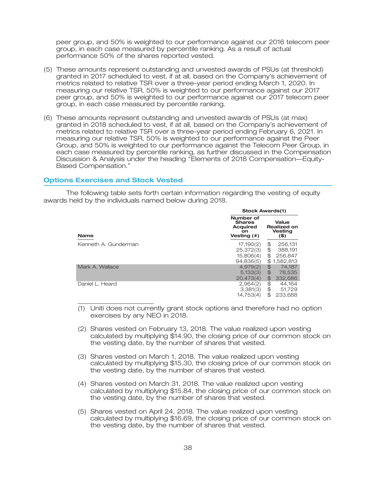peer group, and 50% is weighted to our performance against our 2016 telecom peer group, in each case measured by percentile ranking. As a result of actual performance 50% of the shares reported vested.

- (5) These amounts represent outstanding and unvested awards of PSUs (at threshold) granted in 2017 scheduled to vest, if at all, based on the Company's achievement of metrics related to relative TSR over a three-year period ending March 1, 2020. In measuring our relative TSR, 50% is weighted to our performance against our 2017 peer group, and 50% is weighted to our performance against our 2017 telecom peer group, in each case measured by percentile ranking.
- (6) These amounts represent outstanding and unvested awards of PSUs (at max) granted in 2018 scheduled to vest, if at all, based on the Company's achievement of metrics related to relative TSR over a three-year period ending February 6, 2021. In measuring our relative TSR, 50% is weighted to our performance against the Peer Group, and 50% is weighted to our performance against the Telecom Peer Group, in each case measured by percentile ranking, as further discussed in the Compensation Discussion & Analysis under the heading ''Elements of 2018 Compensation—Equity-Based Compensation.''

#### **Options Exercises and Stock Vested**

The following table sets forth certain information regarding the vesting of equity awards held by the individuals named below during 2018.

|                      | <b>Stock Awards(1)</b>                                             |                                                                                  |  |  |  |
|----------------------|--------------------------------------------------------------------|----------------------------------------------------------------------------------|--|--|--|
| <b>Name</b>          | Number of<br><b>Shares</b><br><b>Acquired</b><br>on<br>Vesting (#) | Value<br><b>Realized on</b><br><b>Vesting</b><br>$($ \$)                         |  |  |  |
| Kenneth A. Gunderman | 17,190(2)<br>25,372(3)<br>15,806(4)<br>94,836(5)                   | 256,131<br>\$<br>\$<br>388,191<br>\$<br>256,847<br>\$1,582,813                   |  |  |  |
| Mark A. Wallace      | 4.979(2)<br>5,133(3)<br>20.473(4)                                  | $\mathfrak{P}$<br>74.187<br>$\frac{1}{2}$<br>78,535<br>$\mathfrak{P}$<br>332,686 |  |  |  |
| Daniel L. Heard      | 2,964(2)<br>3,381(3)<br>14.753(4)                                  | \$<br>44,164<br>\$<br>51,729<br>\$<br>233,688                                    |  |  |  |

(1) Uniti does not currently grant stock options and therefore had no option exercises by any NEO in 2018.

- (2) Shares vested on February 13, 2018. The value realized upon vesting calculated by multiplying \$14.90, the closing price of our common stock on the vesting date, by the number of shares that vested.
- (3) Shares vested on March 1, 2018. The value realized upon vesting calculated by multiplying \$15.30, the closing price of our common stock on the vesting date, by the number of shares that vested.
- (4) Shares vested on March 31, 2018. The value realized upon vesting calculated by multiplying \$15.84, the closing price of our common stock on the vesting date, by the number of shares that vested.
- (5) Shares vested on April 24, 2018. The value realized upon vesting calculated by multiplying \$16.69, the closing price of our common stock on the vesting date, by the number of shares that vested.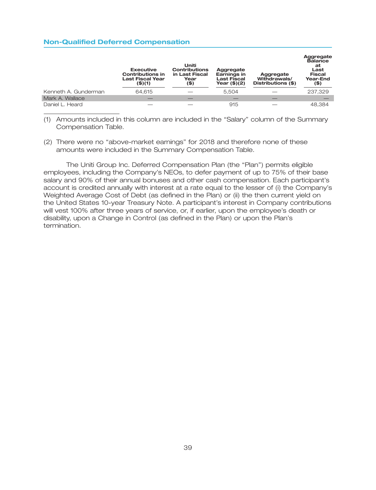### **Non-Qualified Deferred Compensation**

|                      | <b>Executive</b><br><b>Contributions in</b><br><b>Last Fiscal Year</b><br>$($ \$)(1) | Uniti<br><b>Contributions</b><br>in Last Fiscal<br>Year<br>(\$) | Aggregate<br>Earnings in<br><b>Last Fiscal</b><br>Year $($)(2)$ | Aggregate<br>Withdrawals/<br>Distributions (\$) | Aggregate<br><b>Balance</b><br>at<br>Last<br><b>Fiscal</b><br>Year-End<br>(\$) |
|----------------------|--------------------------------------------------------------------------------------|-----------------------------------------------------------------|-----------------------------------------------------------------|-------------------------------------------------|--------------------------------------------------------------------------------|
| Kenneth A. Gunderman | 64.615                                                                               |                                                                 | 5.504                                                           |                                                 | 237,329                                                                        |
| Mark A. Wallace      |                                                                                      |                                                                 |                                                                 |                                                 |                                                                                |
| Daniel L. Heard      |                                                                                      |                                                                 | 915                                                             |                                                 | 48,384                                                                         |

(1) Amounts included in this column are included in the ''Salary'' column of the Summary Compensation Table.

(2) There were no ''above-market earnings'' for 2018 and therefore none of these amounts were included in the Summary Compensation Table.

The Uniti Group Inc. Deferred Compensation Plan (the ''Plan'') permits eligible employees, including the Company's NEOs, to defer payment of up to 75% of their base salary and 90% of their annual bonuses and other cash compensation. Each participant's account is credited annually with interest at a rate equal to the lesser of (i) the Company's Weighted Average Cost of Debt (as defined in the Plan) or (ii) the then current yield on the United States 10-year Treasury Note. A participant's interest in Company contributions will vest 100% after three years of service, or, if earlier, upon the employee's death or disability, upon a Change in Control (as defined in the Plan) or upon the Plan's termination.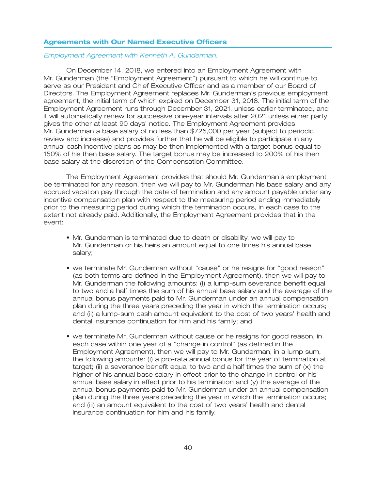#### **Agreements with Our Named Executive Officers**

#### *Employment Agreement with Kenneth A. Gunderman.*

On December 14, 2018, we entered into an Employment Agreement with Mr. Gunderman (the ''Employment Agreement'') pursuant to which he will continue to serve as our President and Chief Executive Officer and as a member of our Board of Directors. The Employment Agreement replaces Mr. Gunderman's previous employment agreement, the initial term of which expired on December 31, 2018. The initial term of the Employment Agreement runs through December 31, 2021, unless earlier terminated, and it will automatically renew for successive one-year intervals after 2021 unless either party gives the other at least 90 days' notice. The Employment Agreement provides Mr. Gunderman a base salary of no less than \$725,000 per year (subject to periodic review and increase) and provides further that he will be eligible to participate in any annual cash incentive plans as may be then implemented with a target bonus equal to 150% of his then base salary. The target bonus may be increased to 200% of his then base salary at the discretion of the Compensation Committee.

The Employment Agreement provides that should Mr. Gunderman's employment be terminated for any reason, then we will pay to Mr. Gunderman his base salary and any accrued vacation pay through the date of termination and any amount payable under any incentive compensation plan with respect to the measuring period ending immediately prior to the measuring period during which the termination occurs, in each case to the extent not already paid. Additionally, the Employment Agreement provides that in the event:

- Mr. Gunderman is terminated due to death or disability, we will pay to Mr. Gunderman or his heirs an amount equal to one times his annual base salary;
- we terminate Mr. Gunderman without ''cause'' or he resigns for ''good reason'' (as both terms are defined in the Employment Agreement), then we will pay to Mr. Gunderman the following amounts: (i) a lump-sum severance benefit equal to two and a half times the sum of his annual base salary and the average of the annual bonus payments paid to Mr. Gunderman under an annual compensation plan during the three years preceding the year in which the termination occurs; and (ii) a lump-sum cash amount equivalent to the cost of two years' health and dental insurance continuation for him and his family; and
- we terminate Mr. Gunderman without cause or he resigns for good reason, in each case within one year of a "change in control" (as defined in the Employment Agreement), then we will pay to Mr. Gunderman, in a lump sum, the following amounts: (i) a pro-rata annual bonus for the year of termination at target; (ii) a severance benefit equal to two and a half times the sum of (x) the higher of his annual base salary in effect prior to the change in control or his annual base salary in effect prior to his termination and (y) the average of the annual bonus payments paid to Mr. Gunderman under an annual compensation plan during the three years preceding the year in which the termination occurs; and (iii) an amount equivalent to the cost of two years' health and dental insurance continuation for him and his family.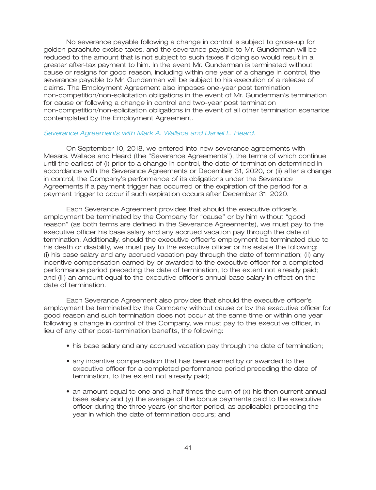No severance payable following a change in control is subject to gross-up for golden parachute excise taxes, and the severance payable to Mr. Gunderman will be reduced to the amount that is not subject to such taxes if doing so would result in a greater after-tax payment to him. In the event Mr. Gunderman is terminated without cause or resigns for good reason, including within one year of a change in control, the severance payable to Mr. Gunderman will be subject to his execution of a release of claims. The Employment Agreement also imposes one-year post termination non-competition/non-solicitation obligations in the event of Mr. Gunderman's termination for cause or following a change in control and two-year post termination non-competition/non-solicitation obligations in the event of all other termination scenarios contemplated by the Employment Agreement.

#### *Severance Agreements with Mark A. Wallace and Daniel L. Heard.*

On September 10, 2018, we entered into new severance agreements with Messrs. Wallace and Heard (the ''Severance Agreements''), the terms of which continue until the earliest of (i) prior to a change in control, the date of termination determined in accordance with the Severance Agreements or December 31, 2020, or (ii) after a change in control, the Company's performance of its obligations under the Severance Agreements if a payment trigger has occurred or the expiration of the period for a payment trigger to occur if such expiration occurs after December 31, 2020.

Each Severance Agreement provides that should the executive officer's employment be terminated by the Company for ''cause'' or by him without ''good reason'' (as both terms are defined in the Severance Agreements), we must pay to the executive officer his base salary and any accrued vacation pay through the date of termination. Additionally, should the executive officer's employment be terminated due to his death or disability, we must pay to the executive officer or his estate the following: (i) his base salary and any accrued vacation pay through the date of termination; (ii) any incentive compensation earned by or awarded to the executive officer for a completed performance period preceding the date of termination, to the extent not already paid; and (iii) an amount equal to the executive officer's annual base salary in effect on the date of termination.

Each Severance Agreement also provides that should the executive officer's employment be terminated by the Company without cause or by the executive officer for good reason and such termination does not occur at the same time or within one year following a change in control of the Company, we must pay to the executive officer, in lieu of any other post-termination benefits, the following:

- his base salary and any accrued vacation pay through the date of termination;
- any incentive compensation that has been earned by or awarded to the executive officer for a completed performance period preceding the date of termination, to the extent not already paid;
- an amount equal to one and a half times the sum of (x) his then current annual base salary and (y) the average of the bonus payments paid to the executive officer during the three years (or shorter period, as applicable) preceding the year in which the date of termination occurs; and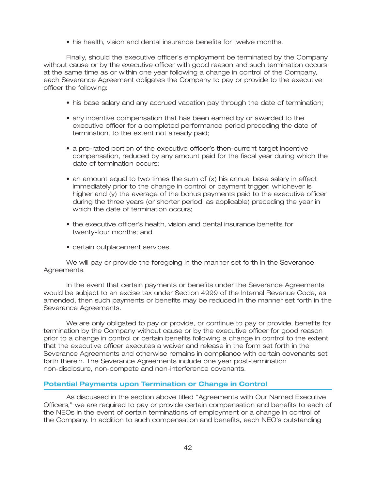• his health, vision and dental insurance benefits for twelve months.

Finally, should the executive officer's employment be terminated by the Company without cause or by the executive officer with good reason and such termination occurs at the same time as or within one year following a change in control of the Company, each Severance Agreement obligates the Company to pay or provide to the executive officer the following:

- his base salary and any accrued vacation pay through the date of termination;
- any incentive compensation that has been earned by or awarded to the executive officer for a completed performance period preceding the date of termination, to the extent not already paid;
- a pro-rated portion of the executive officer's then-current target incentive compensation, reduced by any amount paid for the fiscal year during which the date of termination occurs;
- an amount equal to two times the sum of (x) his annual base salary in effect immediately prior to the change in control or payment trigger, whichever is higher and (y) the average of the bonus payments paid to the executive officer during the three years (or shorter period, as applicable) preceding the year in which the date of termination occurs:
- the executive officer's health, vision and dental insurance benefits for twenty-four months; and
- certain outplacement services.

We will pay or provide the foregoing in the manner set forth in the Severance Agreements.

In the event that certain payments or benefits under the Severance Agreements would be subject to an excise tax under Section 4999 of the Internal Revenue Code, as amended, then such payments or benefits may be reduced in the manner set forth in the Severance Agreements.

We are only obligated to pay or provide, or continue to pay or provide, benefits for termination by the Company without cause or by the executive officer for good reason prior to a change in control or certain benefits following a change in control to the extent that the executive officer executes a waiver and release in the form set forth in the Severance Agreements and otherwise remains in compliance with certain covenants set forth therein. The Severance Agreements include one year post-termination non-disclosure, non-compete and non-interference covenants.

## **Potential Payments upon Termination or Change in Control**

As discussed in the section above titled ''Agreements with Our Named Executive Officers,'' we are required to pay or provide certain compensation and benefits to each of the NEOs in the event of certain terminations of employment or a change in control of the Company. In addition to such compensation and benefits, each NEO's outstanding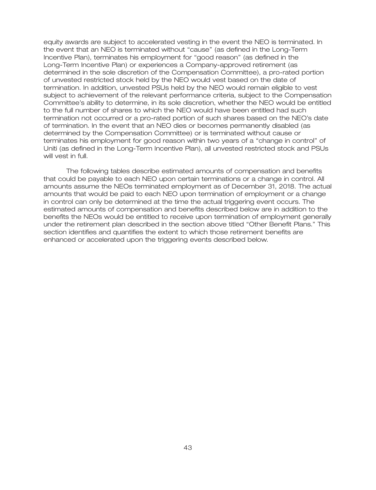equity awards are subject to accelerated vesting in the event the NEO is terminated. In the event that an NEO is terminated without ''cause'' (as defined in the Long-Term Incentive Plan), terminates his employment for ''good reason'' (as defined in the Long-Term Incentive Plan) or experiences a Company-approved retirement (as determined in the sole discretion of the Compensation Committee), a pro-rated portion of unvested restricted stock held by the NEO would vest based on the date of termination. In addition, unvested PSUs held by the NEO would remain eligible to vest subject to achievement of the relevant performance criteria, subject to the Compensation Committee's ability to determine, in its sole discretion, whether the NEO would be entitled to the full number of shares to which the NEO would have been entitled had such termination not occurred or a pro-rated portion of such shares based on the NEO's date of termination. In the event that an NEO dies or becomes permanently disabled (as determined by the Compensation Committee) or is terminated without cause or terminates his employment for good reason within two years of a ''change in control'' of Uniti (as defined in the Long-Term Incentive Plan), all unvested restricted stock and PSUs will vest in full.

The following tables describe estimated amounts of compensation and benefits that could be payable to each NEO upon certain terminations or a change in control. All amounts assume the NEOs terminated employment as of December 31, 2018. The actual amounts that would be paid to each NEO upon termination of employment or a change in control can only be determined at the time the actual triggering event occurs. The estimated amounts of compensation and benefits described below are in addition to the benefits the NEOs would be entitled to receive upon termination of employment generally under the retirement plan described in the section above titled ''Other Benefit Plans.'' This section identifies and quantifies the extent to which those retirement benefits are enhanced or accelerated upon the triggering events described below.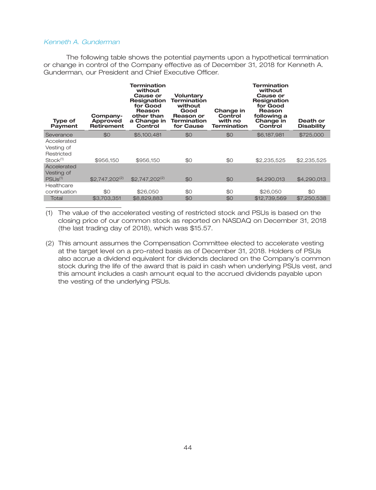## *Kenneth A. Gunderman*

The following table shows the potential payments upon a hypothetical termination or change in control of the Company effective as of December 31, 2018 for Kenneth A. Gunderman, our President and Chief Executive Officer.

| <b>Type of</b><br><b>Payment</b>                                | Company-<br>Approved<br><b>Retirement</b> | <b>Termination</b><br>without<br><b>Cause or</b><br>Resignation<br>for Good<br>Reason<br>other than<br>a Change in<br>Control | <b>Voluntary</b><br><b>Termination</b><br>without<br>Good<br>Reason or<br>Termination<br>for Cause | Change in<br>Control<br>with no<br>Termination | <b>Termination</b><br>without<br>Cause or<br><b>Resignation</b><br>for Good<br>Reason<br>following a<br>Change in<br>Control | Death or<br><b>Disability</b> |
|-----------------------------------------------------------------|-------------------------------------------|-------------------------------------------------------------------------------------------------------------------------------|----------------------------------------------------------------------------------------------------|------------------------------------------------|------------------------------------------------------------------------------------------------------------------------------|-------------------------------|
| Severance                                                       | \$0                                       | \$5,100,481                                                                                                                   | \$0                                                                                                | \$0                                            | \$6,187,981                                                                                                                  | \$725,000                     |
| Accelerated<br>Vesting of<br>Restricted<br>Stock <sup>(1)</sup> | \$956,150                                 | \$956,150                                                                                                                     | \$0                                                                                                | \$0                                            | \$2,235,525                                                                                                                  | \$2,235,525                   |
| Accelerated<br>Vesting of<br>PSU <sub>s(1)</sub>                | $$2.747.202^{(2)}$                        | $$2.747.202^{(2)}$                                                                                                            | \$0                                                                                                | \$0                                            | \$4,290,013                                                                                                                  | \$4,290,013                   |
| Healthcare                                                      |                                           |                                                                                                                               |                                                                                                    |                                                |                                                                                                                              |                               |
| continuation                                                    | \$0                                       | \$26,050                                                                                                                      | \$0                                                                                                | \$0                                            | \$26,050                                                                                                                     | \$0                           |
| Total                                                           | \$3,703,351                               | \$8,829,883                                                                                                                   | \$0                                                                                                | \$0                                            | \$12,739,569                                                                                                                 | \$7,250,538                   |

(1) The value of the accelerated vesting of restricted stock and PSUs is based on the closing price of our common stock as reported on NASDAQ on December 31, 2018 (the last trading day of 2018), which was \$15.57.

(2) This amount assumes the Compensation Committee elected to accelerate vesting at the target level on a pro-rated basis as of December 31, 2018. Holders of PSUs also accrue a dividend equivalent for dividends declared on the Company's common stock during the life of the award that is paid in cash when underlying PSUs vest, and this amount includes a cash amount equal to the accrued dividends payable upon the vesting of the underlying PSUs.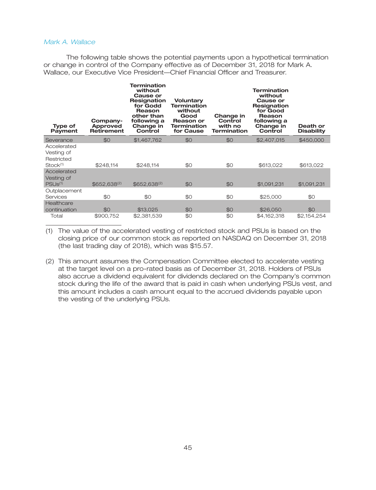## *Mark A. Wallace*

The following table shows the potential payments upon a hypothetical termination or change in control of the Company effective as of December 31, 2018 for Mark A. Wallace, our Executive Vice President—Chief Financial Officer and Treasurer.

| <b>Type of</b><br><b>Payment</b>                                | Company-<br><b>Approved</b><br><b>Retirement</b> | <b>Termination</b><br>without<br>Cause or<br>Resignation<br>for Godd<br>Reason<br>other than<br>following a<br>Change in<br>Control | Voluntary<br><b>Termination</b><br>without<br>Good<br>Reason or<br>Termination<br>for Cause | Change in<br>Control<br>with no<br><b>Termination</b> | <b>Termination</b><br>without<br>Cause or<br>Resignation<br>for Good<br>Reason<br>following a<br>Change in<br>Control | Death or<br><b>Disability</b> |
|-----------------------------------------------------------------|--------------------------------------------------|-------------------------------------------------------------------------------------------------------------------------------------|---------------------------------------------------------------------------------------------|-------------------------------------------------------|-----------------------------------------------------------------------------------------------------------------------|-------------------------------|
| Severance                                                       | \$0                                              | \$1,467,762                                                                                                                         | \$0                                                                                         | \$0                                                   | \$2,407,015                                                                                                           | \$450,000                     |
| Accelerated<br>Vesting of<br>Restricted<br>Stock <sup>(1)</sup> | \$248,114                                        | \$248,114                                                                                                                           | \$0                                                                                         | \$0                                                   | \$613,022                                                                                                             | \$613,022                     |
| Accelerated<br>Vesting of<br>PSUS <sup>(1)</sup>                | $$652.638^{(2)}$$                                | $$652.638^{(2)}$$                                                                                                                   | \$0                                                                                         | \$0                                                   | \$1,091,231                                                                                                           | \$1,091,231                   |
| Outplacement<br>Services                                        | \$0                                              | \$0                                                                                                                                 | \$0                                                                                         | \$0                                                   | \$25,000                                                                                                              | \$0                           |
| Healthcare<br>continuation                                      | \$0                                              | \$13,025                                                                                                                            | \$0                                                                                         | \$0                                                   | \$26,050                                                                                                              | \$0                           |
| Total                                                           | \$900,752                                        | \$2,381,539                                                                                                                         | \$0                                                                                         | \$0                                                   | \$4,162,318                                                                                                           | \$2,154,254                   |

(1) The value of the accelerated vesting of restricted stock and PSUs is based on the closing price of our common stock as reported on NASDAQ on December 31, 2018 (the last trading day of 2018), which was \$15.57.

(2) This amount assumes the Compensation Committee elected to accelerate vesting at the target level on a pro-rated basis as of December 31, 2018. Holders of PSUs also accrue a dividend equivalent for dividends declared on the Company's common stock during the life of the award that is paid in cash when underlying PSUs vest, and this amount includes a cash amount equal to the accrued dividends payable upon the vesting of the underlying PSUs.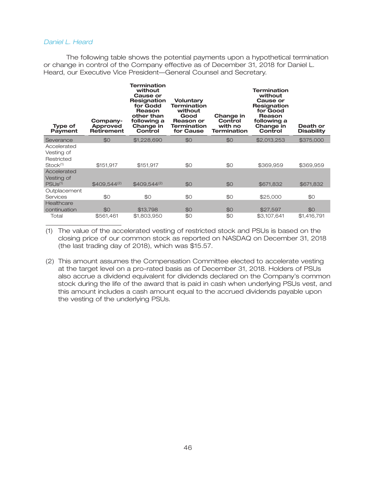## *Daniel L. Heard*

The following table shows the potential payments upon a hypothetical termination or change in control of the Company effective as of December 31, 2018 for Daniel L. Heard, our Executive Vice President—General Counsel and Secretary.

| <b>Type of</b><br><b>Payment</b>                                | Company-<br>Approved<br><b>Retirement</b> | <b>Termination</b><br>without<br>Cause or<br>Resignation<br>for Godd<br>Reason<br>other than<br>following a<br>Change in<br>Control | Voluntary<br><b>Termination</b><br>without<br>Good<br>Reason or<br><b>Termination</b><br>for Cause | Change in<br>Control<br>with no<br><b>Termination</b> | <b>Termination</b><br>without<br>Cause or<br>Resignation<br>for Good<br>Reason<br>following a<br>Change in<br>Control | Death or<br><b>Disability</b> |
|-----------------------------------------------------------------|-------------------------------------------|-------------------------------------------------------------------------------------------------------------------------------------|----------------------------------------------------------------------------------------------------|-------------------------------------------------------|-----------------------------------------------------------------------------------------------------------------------|-------------------------------|
| Severance                                                       | \$0                                       | \$1,228,690                                                                                                                         | \$0                                                                                                | \$0                                                   | \$2,013,253                                                                                                           | \$375,000                     |
| Accelerated<br>Vesting of<br>Restricted<br>Stock <sup>(1)</sup> | \$151,917                                 | \$151,917                                                                                                                           | \$0                                                                                                | \$0                                                   | \$369,959                                                                                                             | \$369,959                     |
| Accelerated<br>Vesting of<br>PSU <sub>s(1)</sub>                | $$409.544^{(2)}$                          | $$409.544^{(2)}$                                                                                                                    | \$0                                                                                                | \$0                                                   | \$671,832                                                                                                             | \$671,832                     |
| Outplacement<br>Services                                        | \$0                                       | \$0                                                                                                                                 | \$0                                                                                                | \$0                                                   | \$25,000                                                                                                              | \$0                           |
| Healthcare<br>continuation                                      | \$0                                       | \$13,798                                                                                                                            | \$0                                                                                                | \$0                                                   | \$27,597                                                                                                              | \$0                           |
| Total                                                           | \$561,461                                 | \$1,803,950                                                                                                                         | \$0                                                                                                | \$0                                                   | \$3,107,641                                                                                                           | \$1,416,791                   |

(1) The value of the accelerated vesting of restricted stock and PSUs is based on the closing price of our common stock as reported on NASDAQ on December 31, 2018 (the last trading day of 2018), which was \$15.57.

(2) This amount assumes the Compensation Committee elected to accelerate vesting at the target level on a pro-rated basis as of December 31, 2018. Holders of PSUs also accrue a dividend equivalent for dividends declared on the Company's common stock during the life of the award that is paid in cash when underlying PSUs vest, and this amount includes a cash amount equal to the accrued dividends payable upon the vesting of the underlying PSUs.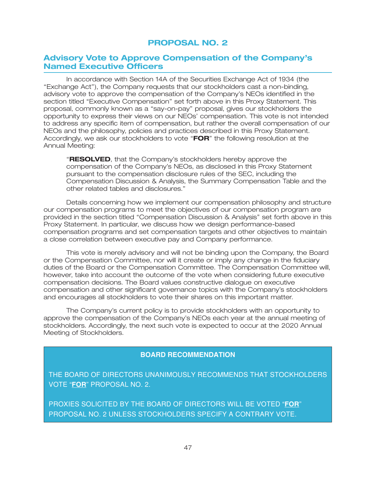## **PROPOSAL NO. 2**

## **Advisory Vote to Approve Compensation of the Company's Named Executive Officers**

In accordance with Section 14A of the Securities Exchange Act of 1934 (the ''Exchange Act''), the Company requests that our stockholders cast a non-binding, advisory vote to approve the compensation of the Company's NEOs identified in the section titled "Executive Compensation" set forth above in this Proxy Statement. This proposal, commonly known as a ''say-on-pay'' proposal, gives our stockholders the opportunity to express their views on our NEOs' compensation. This vote is not intended to address any specific item of compensation, but rather the overall compensation of our NEOs and the philosophy, policies and practices described in this Proxy Statement. Accordingly, we ask our stockholders to vote ''**FOR**'' the following resolution at the Annual Meeting:

''**RESOLVED**, that the Company's stockholders hereby approve the compensation of the Company's NEOs, as disclosed in this Proxy Statement pursuant to the compensation disclosure rules of the SEC, including the Compensation Discussion & Analysis, the Summary Compensation Table and the other related tables and disclosures.''

Details concerning how we implement our compensation philosophy and structure our compensation programs to meet the objectives of our compensation program are provided in the section titled ''Compensation Discussion & Analysis'' set forth above in this Proxy Statement. In particular, we discuss how we design performance-based compensation programs and set compensation targets and other objectives to maintain a close correlation between executive pay and Company performance.

This vote is merely advisory and will not be binding upon the Company, the Board or the Compensation Committee, nor will it create or imply any change in the fiduciary duties of the Board or the Compensation Committee. The Compensation Committee will, however, take into account the outcome of the vote when considering future executive compensation decisions. The Board values constructive dialogue on executive compensation and other significant governance topics with the Company's stockholders and encourages all stockholders to vote their shares on this important matter.

The Company's current policy is to provide stockholders with an opportunity to approve the compensation of the Company's NEOs each year at the annual meeting of stockholders. Accordingly, the next such vote is expected to occur at the 2020 Annual Meeting of Stockholders.

## **BOARD RECOMMENDATION**

THE BOARD OF DIRECTORS UNANIMOUSLY RECOMMENDS THAT STOCKHOLDERS VOTE "**FOR**" PROPOSAL NO. 2.

PROXIES SOLICITED BY THE BOARD OF DIRECTORS WILL BE VOTED "**FOR**" PROPOSAL NO. 2 UNLESS STOCKHOLDERS SPECIFY A CONTRARY VOTE.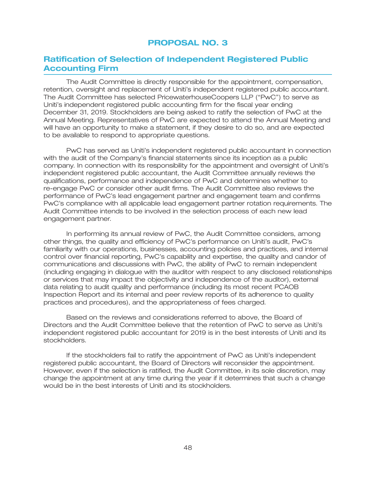## **PROPOSAL NO. 3**

## **Ratification of Selection of Independent Registered Public Accounting Firm**

The Audit Committee is directly responsible for the appointment, compensation, retention, oversight and replacement of Uniti's independent registered public accountant. The Audit Committee has selected PricewaterhouseCoopers LLP (''PwC'') to serve as Uniti's independent registered public accounting firm for the fiscal year ending December 31, 2019. Stockholders are being asked to ratify the selection of PwC at the Annual Meeting. Representatives of PwC are expected to attend the Annual Meeting and will have an opportunity to make a statement, if they desire to do so, and are expected to be available to respond to appropriate questions.

PwC has served as Uniti's independent registered public accountant in connection with the audit of the Company's financial statements since its inception as a public company. In connection with its responsibility for the appointment and oversight of Uniti's independent registered public accountant, the Audit Committee annually reviews the qualifications, performance and independence of PwC and determines whether to re-engage PwC or consider other audit firms. The Audit Committee also reviews the performance of PwC's lead engagement partner and engagement team and confirms PwC's compliance with all applicable lead engagement partner rotation requirements. The Audit Committee intends to be involved in the selection process of each new lead engagement partner.

In performing its annual review of PwC, the Audit Committee considers, among other things, the quality and efficiency of PwC's performance on Uniti's audit, PwC's familiarity with our operations, businesses, accounting policies and practices, and internal control over financial reporting, PwC's capability and expertise, the quality and candor of communications and discussions with PwC, the ability of PwC to remain independent (including engaging in dialogue with the auditor with respect to any disclosed relationships or services that may impact the objectivity and independence of the auditor), external data relating to audit quality and performance (including its most recent PCAOB Inspection Report and its internal and peer review reports of its adherence to quality practices and procedures), and the appropriateness of fees charged.

Based on the reviews and considerations referred to above, the Board of Directors and the Audit Committee believe that the retention of PwC to serve as Uniti's independent registered public accountant for 2019 is in the best interests of Uniti and its stockholders.

If the stockholders fail to ratify the appointment of PwC as Uniti's independent registered public accountant, the Board of Directors will reconsider the appointment. However, even if the selection is ratified, the Audit Committee, in its sole discretion, may change the appointment at any time during the year if it determines that such a change would be in the best interests of Uniti and its stockholders.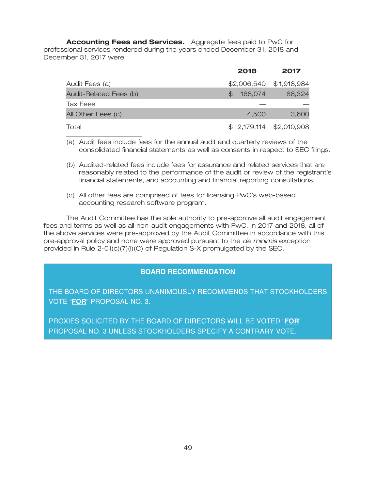**Accounting Fees and Services.** Aggregate fees paid to PwC for professional services rendered during the years ended December 31, 2018 and December 31, 2017 were:

|                        | 2018                      | 2017   |
|------------------------|---------------------------|--------|
| Audit Fees (a)         | \$2,006,540 \$1,918,984   |        |
| Audit-Related Fees (b) | 168,074<br>\$£            | 88,324 |
| Tax Fees               |                           |        |
| All Other Fees (c)     | 4,500                     | 3,600  |
| Total                  | $$2,179,114$ $$2,010,908$ |        |

(a) Audit fees include fees for the annual audit and quarterly reviews of the consolidated financial statements as well as consents in respect to SEC filings.

- (b) Audited-related fees include fees for assurance and related services that are reasonably related to the performance of the audit or review of the registrant's financial statements, and accounting and financial reporting consultations.
- (c) All other fees are comprised of fees for licensing PwC's web-based accounting research software program.

The Audit Committee has the sole authority to pre-approve all audit engagement fees and terms as well as all non-audit engagements with PwC. In 2017 and 2018, all of the above services were pre-approved by the Audit Committee in accordance with this pre-approval policy and none were approved pursuant to the *de minimis* exception provided in Rule 2-01(c)(7)(i)(C) of Regulation S-X promulgated by the SEC.

## **BOARD RECOMMENDATION**

THE BOARD OF DIRECTORS UNANIMOUSLY RECOMMENDS THAT STOCKHOLDERS VOTE "**FOR**" PROPOSAL NO. 3.

PROXIES SOLICITED BY THE BOARD OF DIRECTORS WILL BE VOTED "**FOR**" PROPOSAL NO. 3 UNLESS STOCKHOLDERS SPECIFY A CONTRARY VOTE.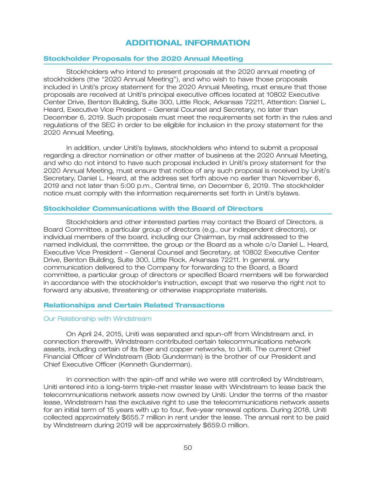## **ADDITIONAL INFORMATION**

### **Stockholder Proposals for the 2020 Annual Meeting**

Stockholders who intend to present proposals at the 2020 annual meeting of stockholders (the "2020 Annual Meeting"), and who wish to have those proposals included in Uniti's proxy statement for the 2020 Annual Meeting, must ensure that those proposals are received at Uniti's principal executive offices located at 10802 Executive Center Drive, Benton Building, Suite 300, Little Rock, Arkansas 72211, Attention: Daniel L. Heard, Executive Vice President – General Counsel and Secretary, no later than December 6, 2019. Such proposals must meet the requirements set forth in the rules and regulations of the SEC in order to be eligible for inclusion in the proxy statement for the 2020 Annual Meeting.

In addition, under Uniti's bylaws, stockholders who intend to submit a proposal regarding a director nomination or other matter of business at the 2020 Annual Meeting, and who do not intend to have such proposal included in Uniti's proxy statement for the 2020 Annual Meeting, must ensure that notice of any such proposal is received by Uniti's Secretary, Daniel L. Heard, at the address set forth above no earlier than November 6, 2019 and not later than 5:00 p.m., Central time, on December 6, 2019. The stockholder notice must comply with the information requirements set forth in Uniti's bylaws.

#### **Stockholder Communications with the Board of Directors**

Stockholders and other interested parties may contact the Board of Directors, a Board Committee, a particular group of directors (e.g., our independent directors), or individual members of the board, including our Chairman, by mail addressed to the named individual, the committee, the group or the Board as a whole c/o Daniel L. Heard, Executive Vice President – General Counsel and Secretary, at 10802 Executive Center Drive, Benton Building, Suite 300, Little Rock, Arkansas 72211. In general, any communication delivered to the Company for forwarding to the Board, a Board committee, a particular group of directors or specified Board members will be forwarded in accordance with the stockholder's instruction, except that we reserve the right not to forward any abusive, threatening or otherwise inappropriate materials.

#### **Relationships and Certain Related Transactions**

#### Our Relationship with Windstream

On April 24, 2015, Uniti was separated and spun-off from Windstream and, in connection therewith, Windstream contributed certain telecommunications network assets, including certain of its fiber and copper networks, to Uniti. The current Chief Financial Officer of Windstream (Bob Gunderman) is the brother of our President and Chief Executive Officer (Kenneth Gunderman).

In connection with the spin-off and while we were still controlled by Windstream, Uniti entered into a long-term triple-net master lease with Windstream to lease back the telecommunications network assets now owned by Uniti. Under the terms of the master lease, Windstream has the exclusive right to use the telecommunications network assets for an initial term of 15 years with up to four, five-year renewal options. During 2018, Uniti collected approximately \$655.7 million in rent under the lease. The annual rent to be paid by Windstream during 2019 will be approximately \$659.0 million.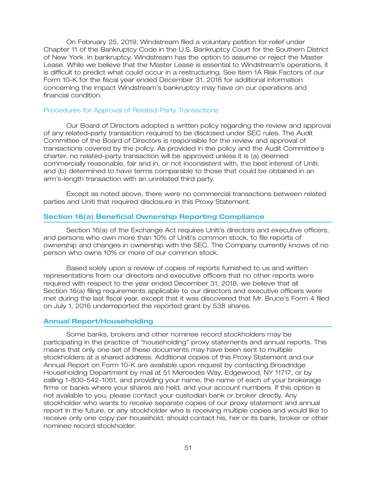On February 25, 2019, Windstream filed a voluntary petition for relief under Chapter 11 of the Bankruptcy Code in the U.S. Bankruptcy Court for the Southern District of New York. In bankruptcy, Windstream has the option to assume or reject the Master Lease. While we believe that the Master Lease is essential to Windstream's operations, it is difficult to predict what could occur in a restructuring. See Item 1A Risk Factors of our Form 10-K for the fiscal year ended December 31, 2018 for additional information concerning the impact Windstream's bankruptcy may have on our operations and financial condition.

#### Procedures for Approval of Related-Party Transactions

Our Board of Directors adopted a written policy regarding the review and approval of any related-party transaction required to be disclosed under SEC rules. The Audit Committee of the Board of Directors is responsible for the review and approval of transactions covered by the policy. As provided in the policy and the Audit Committee's charter, no related-party transaction will be approved unless it is (a) deemed commercially reasonable, fair and in, or not inconsistent with, the best interest of Uniti; and (b) determined to have terms comparable to those that could be obtained in an arm's-length transaction with an unrelated third party.

Except as noted above, there were no commercial transactions between related parties and Uniti that required disclosure in this Proxy Statement.

#### **Section 16(a) Beneficial Ownership Reporting Compliance**

Section 16(a) of the Exchange Act requires Uniti's directors and executive officers, and persons who own more than 10% of Uniti's common stock, to file reports of ownership and changes in ownership with the SEC. The Company currently knows of no person who owns 10% or more of our common stock.

Based solely upon a review of copies of reports furnished to us and written representations from our directors and executive officers that no other reports were required with respect to the year ended December 31, 2018, we believe that all Section 16(a) filing requirements applicable to our directors and executive officers were met during the last fiscal year, except that it was discovered that Mr. Bruce's Form 4 filed on July 1, 2016 underreported the reported grant by 538 shares.

#### **Annual Report/Householding**

Some banks, brokers and other nominee record stockholders may be participating in the practice of ''householding'' proxy statements and annual reports. This means that only one set of these documents may have been sent to multiple stockholders at a shared address. Additional copies of this Proxy Statement and our Annual Report on Form 10-K are available upon request by contacting Broadridge Householding Department by mail at 51 Mercedes Way, Edgewood, NY 11717, or by calling 1-800-542-1061, and providing your name, the name of each of your brokerage firms or banks where your shares are held, and your account numbers. If this option is not available to you, please contact your custodian bank or broker directly. Any stockholder who wants to receive separate copies of our proxy statement and annual report in the future, or any stockholder who is receiving multiple copies and would like to receive only one copy per household, should contact his, her or its bank, broker or other nominee record stockholder.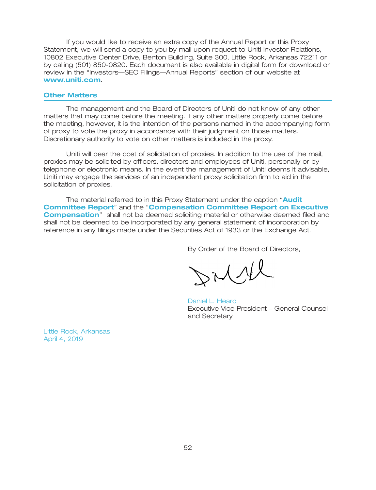If you would like to receive an extra copy of the Annual Report or this Proxy Statement, we will send a copy to you by mail upon request to Uniti Investor Relations, 10802 Executive Center Drive, Benton Building, Suite 300, Little Rock, Arkansas 72211 or by calling (501) 850-0820. Each document is also available in digital form for download or review in the ''Investors—SEC Filings—Annual Reports'' section of our website at . **www.uniti.com**

### **Other Matters**

The management and the Board of Directors of Uniti do not know of any other matters that may come before the meeting. If any other matters properly come before the meeting, however, it is the intention of the persons named in the accompanying form of proxy to vote the proxy in accordance with their judgment on those matters. Discretionary authority to vote on other matters is included in the proxy.

Uniti will bear the cost of solicitation of proxies. In addition to the use of the mail, proxies may be solicited by officers, directors and employees of Uniti, personally or by telephone or electronic means. In the event the management of Uniti deems it advisable, Uniti may engage the services of an independent proxy solicitation firm to aid in the solicitation of proxies.

The material referred to in this Proxy Statement under the caption '' **Audit Committee Report"** and the "**Compensation Committee Report on Executive Compensation**" shall not be deemed soliciting material or otherwise deemed filed and shall not be deemed to be incorporated by any general statement of incorporation by reference in any filings made under the Securities Act of 1933 or the Exchange Act.

By Order of the Board of Directors,

rille

Executive Vice President – General Counsel and Secretary Daniel L. Heard

Little Rock, Arkansas April 4, 2019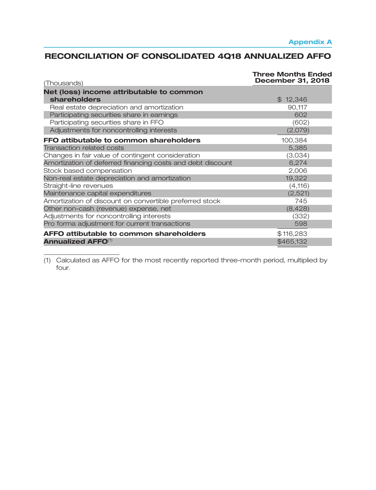## **RECONCILIATION OF CONSOLIDATED 4Q18 ANNUALIZED AFFO**

| (Thousands)                                                                             | <b>Three Months Ended</b><br><b>December 31, 2018</b> |
|-----------------------------------------------------------------------------------------|-------------------------------------------------------|
| Net (loss) income attributable to common                                                |                                                       |
| shareholders                                                                            | \$12,346                                              |
| Real estate depreciation and amortization<br>Participating securities share in earnings | 90,117<br>602                                         |
| Participating securities share in FFO                                                   | (602)                                                 |
| Adjustments for noncontrolling interests                                                | (2,079)                                               |
| FFO attibutable to common shareholders                                                  | 100,384                                               |
| <b>Transaction related costs</b>                                                        | 5,385                                                 |
| Changes in fair value of contingent consideration                                       | (3,034)                                               |
| Amortization of deferred financing costs and debt discount                              | 6,274                                                 |
| Stock based compensation                                                                | 2,006                                                 |
| Non-real estate depreciation and amortization                                           | 19,322                                                |
| Straight-line revenues                                                                  | (4, 116)                                              |
| Maintenance capital expenditures                                                        | (2,521)                                               |
| Amortization of discount on convertible preferred stock                                 | 745                                                   |
| Other non-cash (revenue) expense, net                                                   | (8,428)                                               |
| Adjustments for noncontrolling interests                                                | (332)                                                 |
| Pro forma adjustment for current transactions                                           | 598                                                   |
| AFFO attibutable to common shareholders                                                 | \$116,283                                             |
| <b>Annualized AFFO</b> <sup>(1)</sup>                                                   | \$465,132                                             |

(1) Calculated as AFFO for the most recently reported three-month period, multiplied by four.